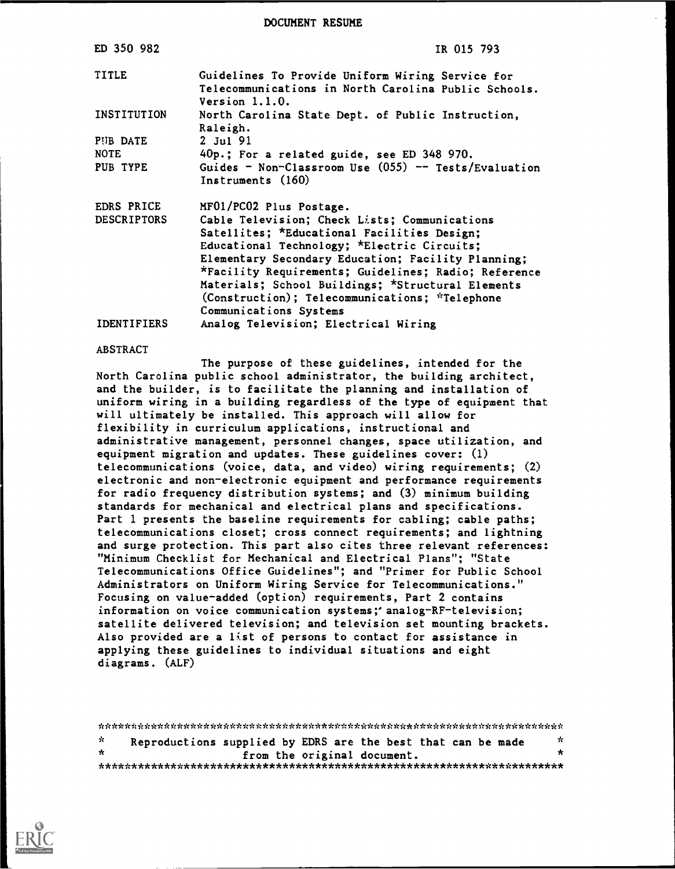DOCUMENT RESUME

| ED 350 982         | IR 015 793                                                                                                                   |
|--------------------|------------------------------------------------------------------------------------------------------------------------------|
| <b>TITLE</b>       | Guidelines To Provide Uniform Wiring Service for<br>Telecommunications in North Carolina Public Schools.<br>Version $1.1.0.$ |
| INSTITUTION        | North Carolina State Dept. of Public Instruction,<br>Raleigh.                                                                |
| PUB DATE           | $2$ Jul 91                                                                                                                   |
| <b>NOTE</b>        | 40p.; For a related guide, see ED 348 970.                                                                                   |
| PUB TYPE           | Guides - Non-Classroom Use $(055)$ -- Tests/Evaluation<br>Instruments (160)                                                  |
| EDRS PRICE         | MF01/PC02 Plus Postage.                                                                                                      |
| <b>DESCRIPTORS</b> | Cable Television; Check Lists; Communications                                                                                |
|                    | Satellites; *Educational Facilities Design;                                                                                  |
|                    | Educational Technology; *Electric Circuits;                                                                                  |
|                    | Elementary Secondary Education; Facility Planning;                                                                           |
|                    | *Facility Requirements; Guidelines; Radio; Reference                                                                         |
|                    | Materials; School Buildings; *Structural Elements                                                                            |
|                    | (Construction); Telecommunications; *Telephone                                                                               |
|                    | Communications Systems                                                                                                       |
| <b>IDENTIFIERS</b> | Analog Television; Electrical Wiring                                                                                         |

#### ABSTRACT

The purpose of these guidelines, intended for the North Carolina public school administrator, the building architect, and the builder, is to facilitate the planning and installation of uniform wiring in a building regardless of the type of equipment that will ultimately be installed. This approach will allow for flexibility in curriculum applications, instructional and administrative management, personnel changes, space utilization, and equipment migration and updates. These guidelines cover: (1) telecommunications (voice, data, and video) wiring requirements; (2) electronic and non-electronic equipment and performance requirements for radio frequency distribution systems; and (3) minimum building standards for mechanical and electrical plans and specifications. Part 1 presents the baseline requirements for cabling; cable paths; telecommunications closet; cross connect requirements; and lightning and surge protection. This part also cites three relevant references: "Minimum Checklist for Mechanical and Electrical Plans"; "State Telecommunications Office Guidelines"; and "Primer for Public School Administrators on Uniform Wiring Service for Telecommunications." Focusing on value-added (option) requirements, Part 2 contains information on voice communication systems;'analog-RF-television; satellite delivered television; and television set mounting brackets. Also provided are a list of persons to contact for assistance in applying these guidelines to individual situations and eight diagrams. (ALF)

\*\*\*\*\*\*\*\*\*\*\*\*\*\*\*\*\*\*\*\*\*\*\*\*\*\*\*\*\*\*\*\*\*\*\*\*\*\*\*\*\*\*\*\*\*\*\*\*\*\*\*\*\*\*\*\*\*\*\*\*\*\*\*\*\*\*\*\*\*\*\*  $\mathbf{r}$ Reproductions supplied by EDRS are the best that can be made  $\pi$ from the original document. \*\*\*\*\*\*\*\*\*\*\*\*\*\*\*\*\*\*\*\*\*\*\*\*\*\*\*\*\*\*\*\*\*\*\*\*\*\*\*\*\*\*\*\*\*\*\*\*\*\*\*\*\*\*\*\*\*\*\*\*\*\*\*\*\*\*\*\*\*\*\*

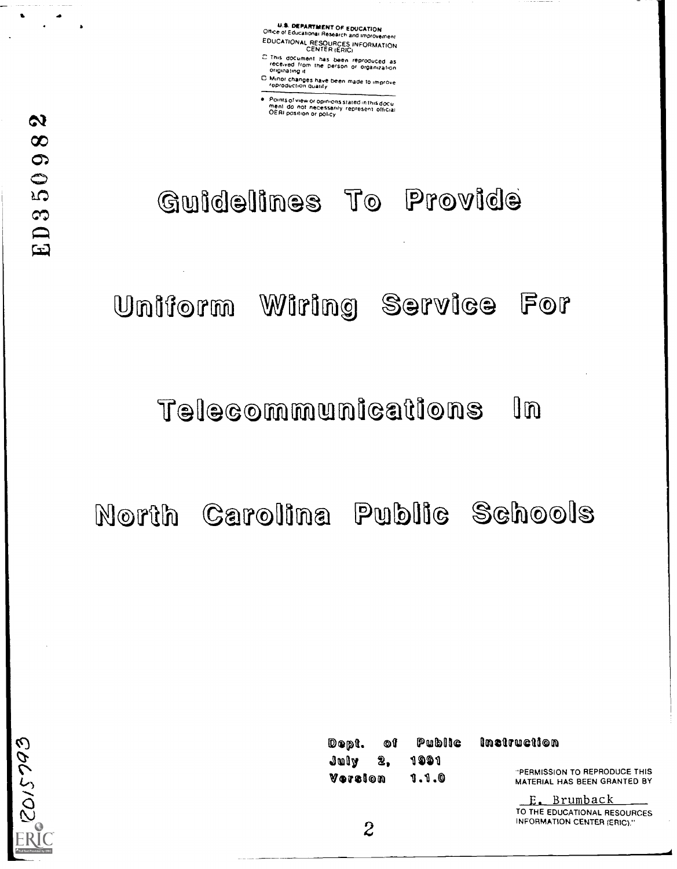U.S. DEPARTMENT OF EDUCATION Office of Educabonal Research and Improvement EDUCATIONAL RESOURCES INFORMATION CENTER {ERIC)

This document has been reproduced as<br>rece.ved from the person or organization<br>originating.it C. Minor changes have been made to improve<br>
For changes have been made to improve

Points of view or opinions stated in this docu<br>ment ido inot inecessarily represent official<br>OERI position or policy



Uniform Wiring Service For

## Telecommunications In

North Carolina Public Schools



CONTECTS THE CONTECTS OF THE VONTERION TO A TREFRODUCE THIS TO A THIS VONT: ISLAMIC TO A TREPRODUCE THIS THE VONT: ISLAMIC TO A TREPRODUCE THIS THE VONT: ISLAMIC TO A TREPRODUCE THIS THE VONT: ISLAMIC TO A TREPRODUCE THIS

E. Brumback TO THE EDUCATIONAL RESOURCES<br>INFORMATION CENTER (ERIC)." INFORMATION CENTER (ERIC)."<br>
2<br>
2

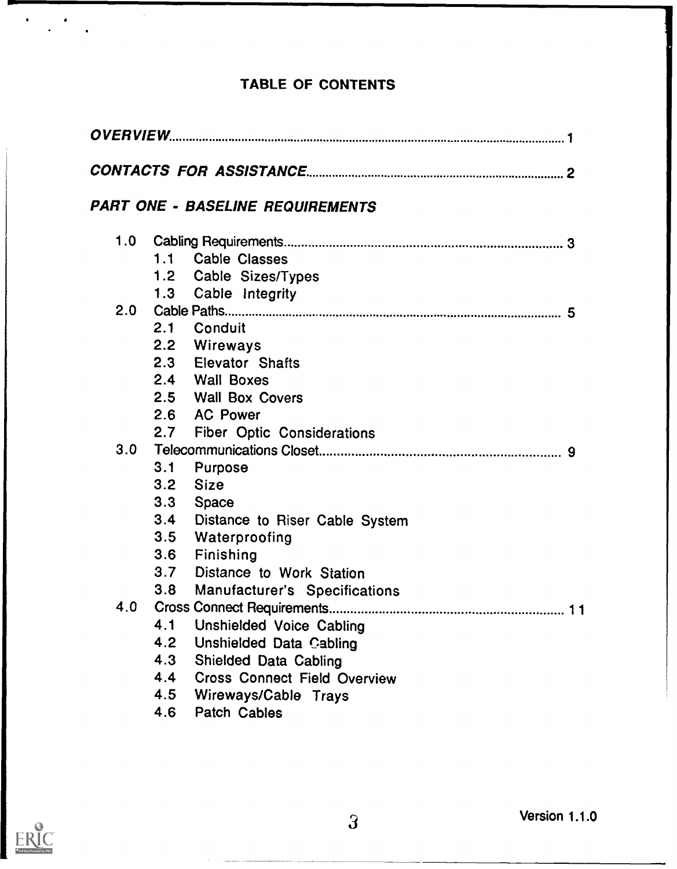### TABLE OF CONTENTS

|                  |     | PART ONE - BASELINE REQUIREMENTS    |
|------------------|-----|-------------------------------------|
| 1.0              |     |                                     |
|                  |     | 1.1 Cable Classes                   |
|                  |     | 1.2 Cable Sizes/Types               |
|                  |     | 1.3 Cable Integrity                 |
| 2.0 <sub>1</sub> |     |                                     |
|                  |     | 2.1 Conduit                         |
|                  |     | 2.2 Wireways                        |
|                  |     | 2.3 Elevator Shafts                 |
|                  |     | 2.4 Wall Boxes                      |
|                  |     | 2.5 Wall Box Covers                 |
|                  |     | 2.6 AC Power                        |
|                  |     | 2.7 Fiber Optic Considerations      |
| 3.0              |     |                                     |
|                  | 3.1 | Purpose                             |
|                  | 3.2 | <b>Size</b>                         |
|                  | 3.3 | Space                               |
|                  | 3.4 | Distance to Riser Cable System      |
|                  | 3.5 | Waterproofing                       |
|                  | 3.6 | Finishing                           |
|                  | 3.7 | Distance to Work Station            |
|                  | 3.8 | Manufacturer's Specifications       |
| 4.0              |     |                                     |
|                  | 4.1 | Unshielded Voice Cabling            |
|                  | 4.2 | <b>Unshielded Data Cabling</b>      |
|                  | 4.3 | Shielded Data Cabling               |
|                  | 4.4 | <b>Cross Connect Field Overview</b> |
|                  | 4.5 | Wireways/Cable Trays                |
|                  | 4.6 | Patch Cables                        |



 $\left\langle \left( \frac{1}{2} \right) \right\rangle$  ,  $\left\langle \left( \frac{1}{2} \right) \right\rangle$  ,

 $\sim$   $\sim$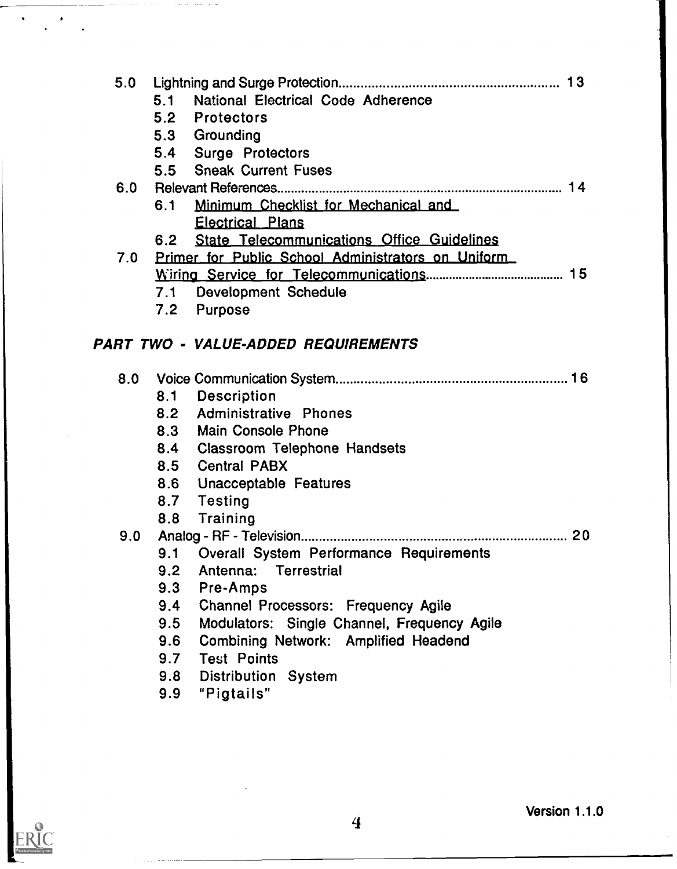| 5.0 |                                                                                            |  |
|-----|--------------------------------------------------------------------------------------------|--|
|     | National Electrical Code Adherence<br>5.1                                                  |  |
|     | 5.2 Protectors                                                                             |  |
|     | 5.3 Grounding                                                                              |  |
|     | 5.4 Surge Protectors                                                                       |  |
|     | 5.5 Sneak Current Fuses                                                                    |  |
| 6.0 |                                                                                            |  |
|     | Minimum Checklist for Mechanical and<br>6.1                                                |  |
|     | <b>Electrical Plans</b>                                                                    |  |
|     | <b>State Telecommunications Office Guidelines</b><br>6.2                                   |  |
| 7.0 | Primer for Public School Administrators on Uniform                                         |  |
|     |                                                                                            |  |
|     | 7.1 Development Schedule                                                                   |  |
|     | 7.2 Purpose                                                                                |  |
|     |                                                                                            |  |
|     | PART TWO - VALUE-ADDED REQUIREMENTS                                                        |  |
|     |                                                                                            |  |
| 8.0 |                                                                                            |  |
|     | 8.1 Description                                                                            |  |
|     | 8.2 Administrative Phones                                                                  |  |
|     | 8.3 Main Console Phone                                                                     |  |
|     | 8.4 Classroom Telephone Handsets                                                           |  |
|     | 8.5 Central PABX                                                                           |  |
|     | 8.6 Unacceptable Features                                                                  |  |
|     | 8.7 Testing                                                                                |  |
|     | 8.8 Training                                                                               |  |
| 9.0 |                                                                                            |  |
|     | 9.1 Overall System Performance Requirements<br>Antenna: Terrestrial<br>9.2 <sub>2</sub>    |  |
|     | 9.3<br>Pre-Amps                                                                            |  |
|     | Channel Processors: Frequency Agile<br>9.4                                                 |  |
|     | 9.5                                                                                        |  |
|     | Modulators: Single Channel, Frequency Agile<br>Combining Network: Amplified Headend<br>9.6 |  |
|     | 9.7<br><b>Test Points</b>                                                                  |  |
|     |                                                                                            |  |
|     | Distribution System<br>9.8                                                                 |  |

9.9 "Pigtails"



 $\hat{\textbf{v}}$ 

 $\bar{z}$ 

I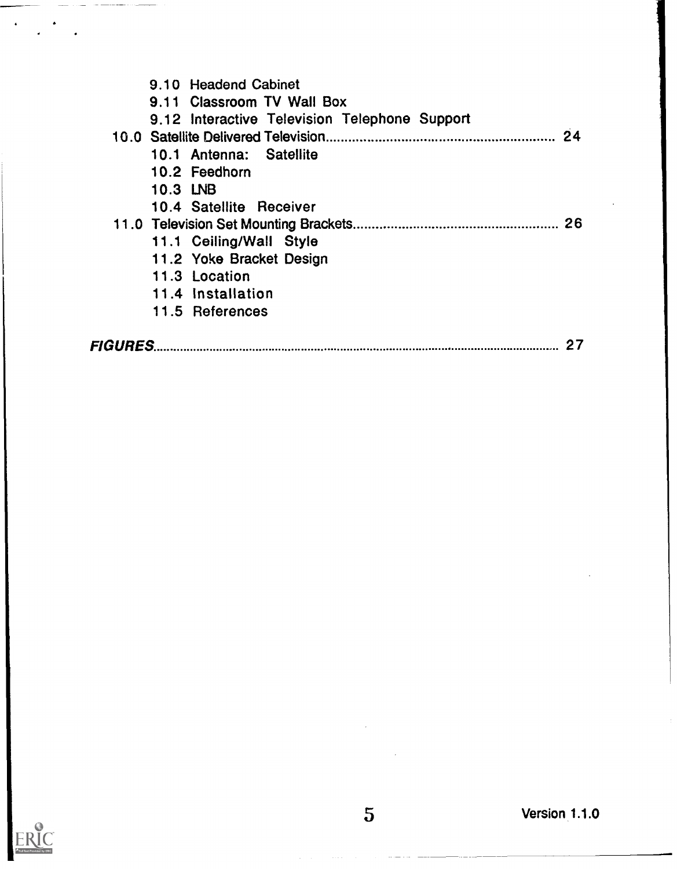| 9.10 Headend Cabinet                          |    |
|-----------------------------------------------|----|
| 9.11 Classroom TV Wall Box                    |    |
| 9.12 Interactive Television Telephone Support |    |
|                                               | 24 |
| 10.1 Antenna: Satellite                       |    |
| 10.2 Feedhorn                                 |    |
| 10.3 LNB                                      |    |
| 10.4 Satellite Receiver                       |    |
|                                               |    |
| 11.1 Ceiling/Wall Style                       |    |
| 11.2 Yoke Bracket Design                      |    |
| 11.3 Location                                 |    |
| 11.4 Installation                             |    |
| 11.5 References                               |    |
|                                               |    |
| FIGURES                                       | 27 |

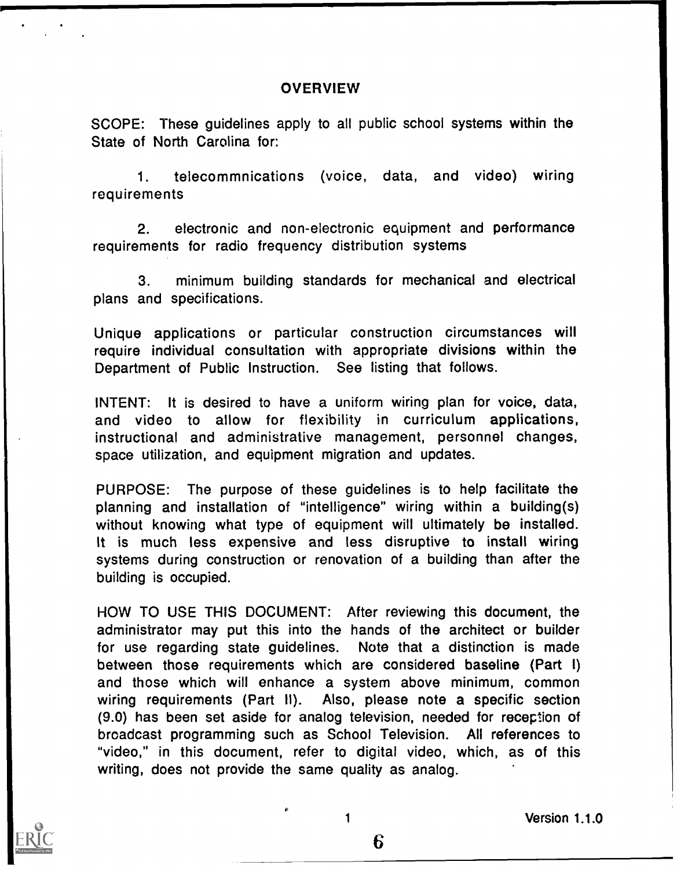### **OVERVIEW**

SCOPE: These guidelines apply to all public school systems within the State of North Carolina for:

1. telecommnications (voice, data, and video) wiring requirements

2. electronic and non-electronic equipment and performance requirements for radio frequency distribution systems

3. minimum building standards for mechanical and electrical plans and specifications.

Unique applications or particular construction circumstances will require individual consultation with appropriate divisions within the Department of Public Instruction. See listing that follows.

INTENT: It is desired to have a uniform wiring plan for voice, data, and video to allow for flexibility in curriculum applications, instructional and administrative management, personnel changes, space utilization, and equipment migration and updates.

PURPOSE: The purpose of these guidelines is to help facilitate the planning and installation of "intelligence" wiring within a building(s) without knowing what type of equipment will ultimately be installed. It is much less expensive and less disruptive to install wiring systems during construction or renovation of a building than after the building is occupied.

HOW TO USE THIS DOCUMENT: After reviewing this document, the administrator may put this into the hands of the architect or builder for use regarding state guidelines. Note that a distinction is made between those requirements which are considered baseline (Part I) and those which will enhance a system above minimum, common wiring requirements (Part II). Also, please note a specific section (9.0) has been set aside for analog television, needed for reception of broadcast programming such as School Television. All references to "video," in this document, refer to digital video, which, as of this writing, does not provide the same quality as analog.



<sup>1</sup> Version 1.1.0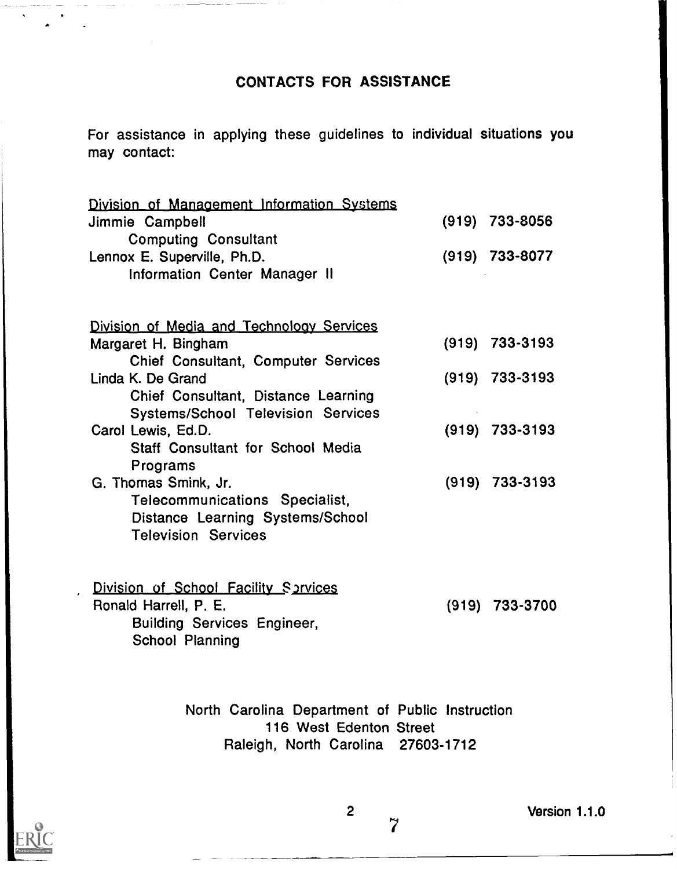### CONTACTS FOR ASSISTANCE

For assistance in applying these guidelines to individual situations you may contact:

| Division of Management Information Systems<br>Jimmie Campbell<br><b>Computing Consultant</b>                             | $(919)$ 733-8056 |
|--------------------------------------------------------------------------------------------------------------------------|------------------|
| Lennox E. Superville, Ph.D.<br>Information Center Manager II                                                             | $(919)$ 733-8077 |
| Division of Media and Technology Services                                                                                |                  |
| Margaret H. Bingham<br>Chief Consultant, Computer Services                                                               | $(919)$ 733-3193 |
| Linda K. De Grand<br>Chief Consultant, Distance Learning<br><b>Systems/School Television Services</b>                    | $(919)$ 733-3193 |
| Carol Lewis, Ed.D.<br>Staff Consultant for School Media<br>Programs                                                      | $(919)$ 733-3193 |
| G. Thomas Smink, Jr.<br>Telecommunications Specialist,<br>Distance Learning Systems/School<br><b>Television Services</b> | $(919)$ 733-3193 |
| Division of School Facility Sprvices<br>Ronald Harrell, P. E.<br><b>Building Services Engineer,</b><br>School Planning   | $(919)$ 733-3700 |

North Carolina Department of Public Instruction 116 West Edenton Street Raleigh, North Carolina 27603-1712



2 Version 1.1.0

 $\overline{7}$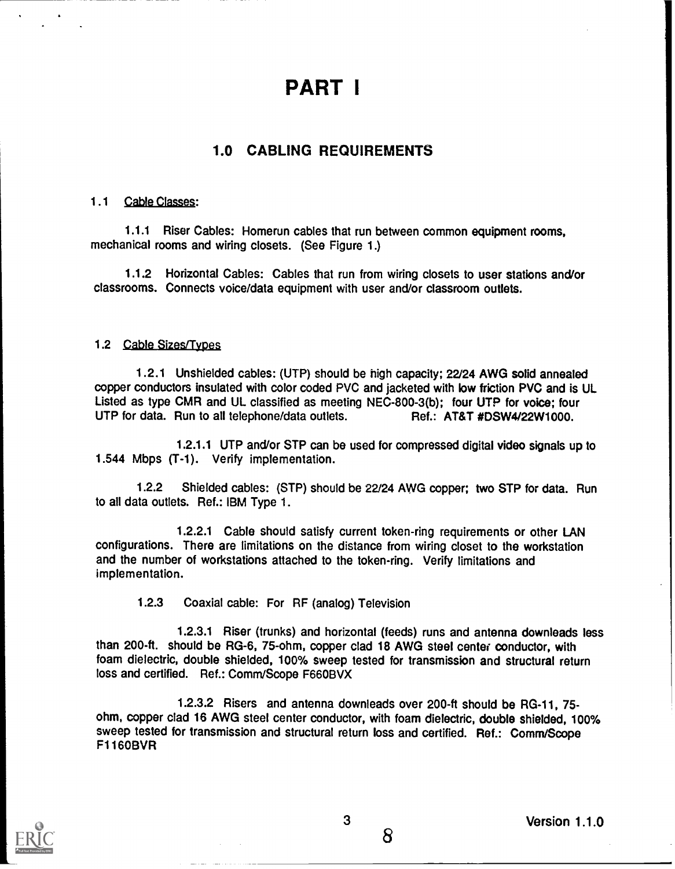## PART I

### 1.0 CABLING REQUIREMENTS

### 1.1 Cable Classes:

1.1.1 Riser Cables: Homerun cables that run between common equipment rooms, mechanical rooms and wiring closets. (See Figure 1.)

1.1.2 Horizontal Cables: Cables that run from wiring closets to user stations and/or classrooms. Connects voice/data equipment with user and/or classroom outlets.

### 1.2 Cable Sizes/Types

1.2.1 Unshielded cables: (UTP) should be high capacity; 22/24 AWG solid annealed copper conductors insulated with color coded PVC and jacketed with low friction PVC and is UL Listed as type CMR and UL classified as meeting NEC-800-3(b); four UTP for voice; four<br>UTP for data. Run to all telephone/data outlets. <br>Ref.: AT&T #DSW4/22W1000. UTP for data. Run to all telephone/data outlets.

1.2.1.1 UTP and/or STP can be used for compressed digital video signals up to 1.544 Mbps (T-1). Verify implementation.

1.2.2 Shielded cables: (STP) should be 22/24 AWG copper; two STP for data. Run to all data outlets. Ref.: IBM Type 1.

1.2.2.1 Cable should satisfy current token-ring requirements or other LAN configurations. There are limitations on the distance from wiring closet to the workstation and the number of workstations attached to the token-ring. Verify limitations and implementation.

1.2.3 Coaxial cable: For RF (analog) Television

1.2.3.1 Riser (trunks) and horizontal (feeds) runs and antenna downleads less than 200-ft. should be RG-6, 75-ohm, copper clad 18 AWG steel center conductor, with foam dielectric, double shielded, 100% sweep tested for transmission and structural return loss and certified. Ref.: Comm/Scope F660BVX

1.2.3.2 Risers and antenna downleads over 200-ft should be RG-11, 75 ohm, copper clad 16 AWG steel center conductor, with foam dielectric, double shielded, 100% sweep tested for transmission and structural return loss and certified. Ref.: Comm/Scope F1160BVR

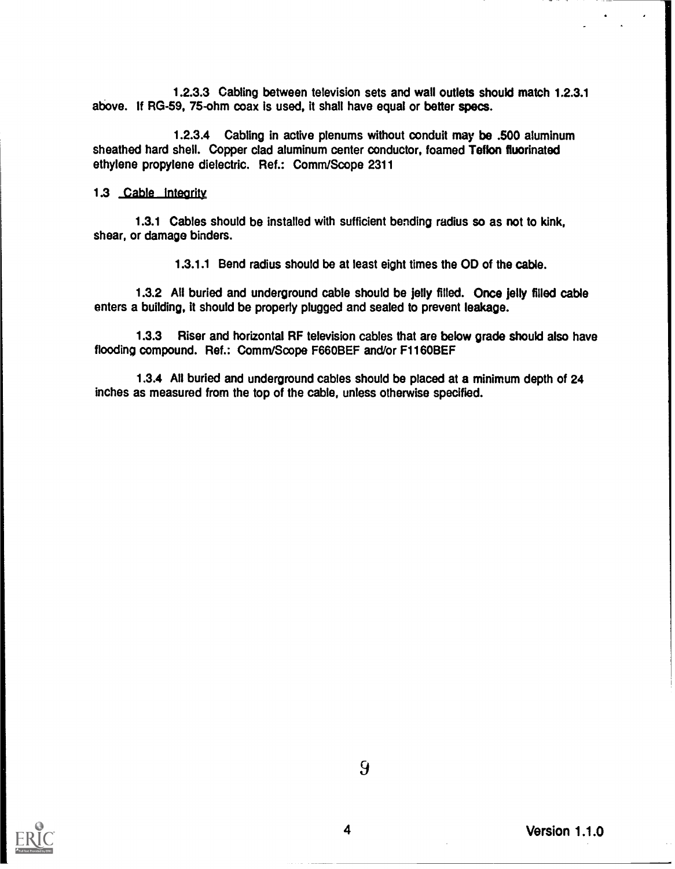1.2.3.3 Cabling between television sets and wall outlets should match 1.2.3.1 above. If RG-59, 75-ohm coax is used, it shall have equal or better specs.

1.2.3.4 Cabling in active plenums without conduit may be .500 aluminum sheathed hard shell. Copper clad aluminum center conductor, foamed Teflon fluorinated ethylene propylene dielectric. Ref.: Comm/Scope 2311

### 1.3 Cable Integrity

1.3.1 Cables should be installed with sufficient bending radius so as not to kink, shear, or damage binders.

1.3.1.1 Bend radius should be at least eight times the OD of the cable.

1.3.2 All buried and underground cable should be jelly filled. Once jelly filled cable enters a building, it should be properly plugged and sealed to prevent leakage.

1.3.3 Riser and horizontal RF television cables that are below grade should also have flooding compound. Ref.: Comm/Scope F660BEF and/or F1160BEF

1.3.4 All buried and underground cables should be placed at a minimum depth of 24 inches as measured from the top of the cable, unless otherwise specified.

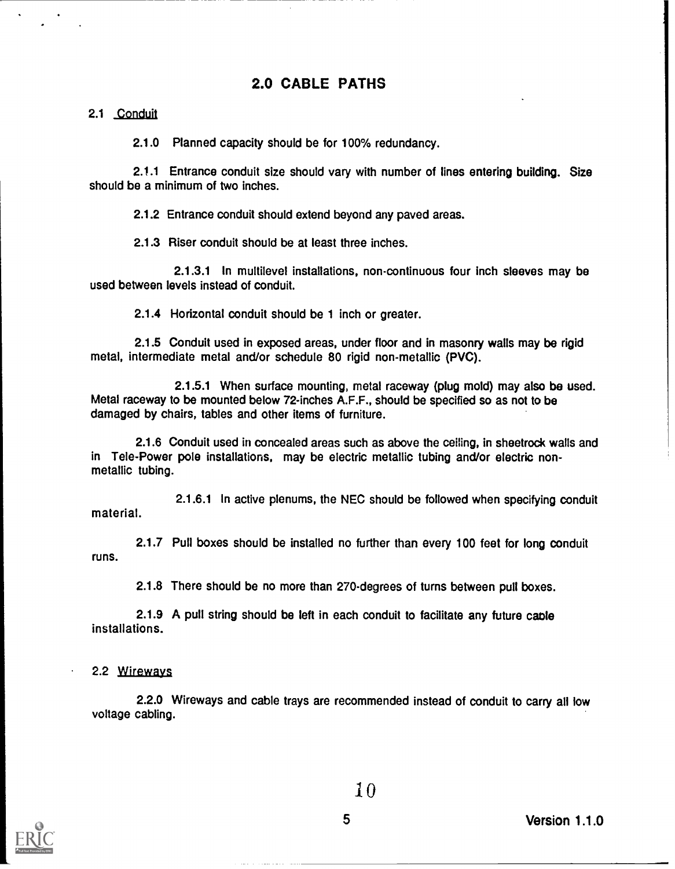### 2.0 CABLE PATHS

### 2.1 Conduit

2.1.0 Planned capacity should be for 100% redundancy.

2.1.1 Entrance conduit size should vary with number of lines entering building. Size should be a minimum of two inches.

2.1.2 Entrance conduit should extend beyond any paved areas.

2.1.3 Riser conduit should be at least three inches.

2.1.3.1 In multilevel installations, non-continuous four inch sleeves may be used between levels instead of conduit.

2.1.4 Horizontal conduit should be 1 inch or greater.

2.1.5 Conduit used in exposed areas, under floor and in masonry walls may be rigid metal, intermediate metal and/or schedule 80 rigid non-metallic (PVC).

2.1.5.1 When surface mounting, metal raceway (plug mold) may also be used. Metal raceway to be mounted below 72-inches A.F.F., should be specified so as not to be damaged by chairs, tables and other items of furniture.

2.1.6 Conduit used in concealed areas such as above the ceiling, in sheetrock walls and in Tele-Power pole installations, may be electric metallic tubing and/or electric nonmetallic tubing.

material. 2.1.6.1 In active plenums, the NEC should be followed when specifying conduit

runs. 2.1.7 Pull boxes should be installed no further than every 100 feet for long conduit

2.1.8 There should be no more than 270-degrees of turns between pull boxes.

2.1.9 A pull string should be left in each conduit to facilitate any future cable installations.

### 2.2 Wirewaya

2.2.0 Wireways and cable trays are recommended instead of conduit to carry all low voltage cabling.



I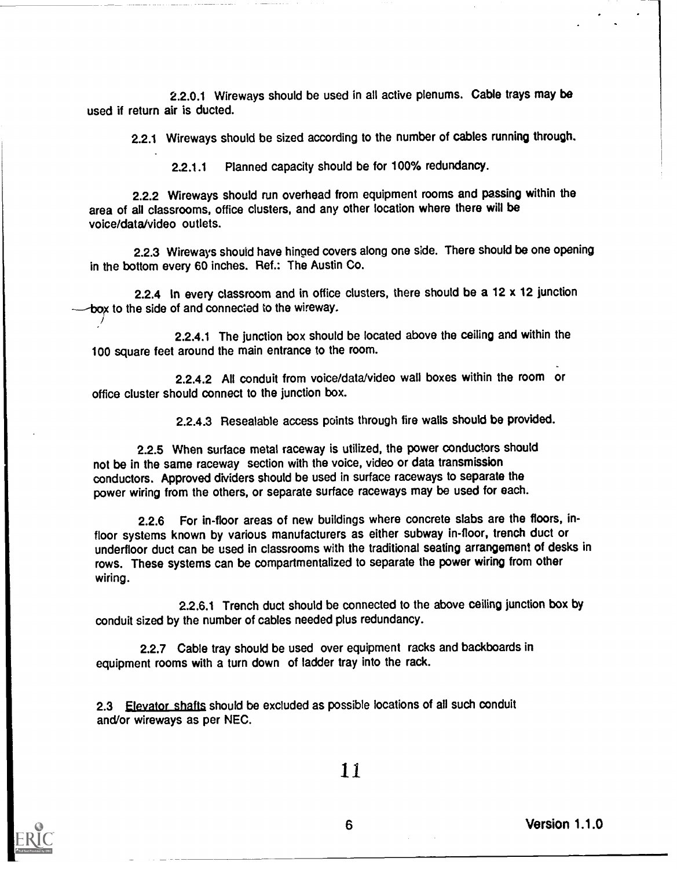2.2.0.1 Wireways should be used in all active plenums. Cable trays may be used if return air is ducted.

2.2.1 Wireways should be sized according to the number of cables running through.

2.2.1.1 Planned capacity should be for 100% redundancy.

2.2.2 Wireways should run overhead from equipment rooms and passing within the area of all classrooms, office clusters, and any other location where there will be voice/data/video outlets.

2.2.3 Wireways should have hinged covers along one side. There should be one opening in the bottom every 60 inches. Ref.: The Austin Co.

2.2.4 In every classroom and in office clusters, there should be a 12 x 12 junction box to the side of and connected to the wireway.

2.2.4.1 The junction box should be located above the ceiling and within the 100 square feet around the main entrance to the room.

2.2.4.2 All conduit from voice/data/video wall boxes within the room or office cluster should connect to the junction box.

2.2.4.3 Resealable access points through fire walls should be provided.

2.2.5 When surface metal raceway is utilized, the power conductors should not be in the same raceway section with the voice, video or data transmission conductors. Approved dividers should be used in surface raceways to separate the power wiring from the others, or separate surface raceways may be used for each.

2.2.6 For in-floor areas of new buildings where concrete slabs are the floors, infloor systems known by various manufacturers as either subway in-floor, trench duct or underfloor duct can be used in classrooms with the traditional seating arrangement of desks in rows. These systems can be compartmentalized to separate the power wiring from other wiring.

2.2.6.1 Trench duct should be connected to the above ceiling junction box by conduit sized by the number of cables needed plus redundancy.

2.2.7 Cable tray should be used over equipment racks and backboards in equipment rooms with a turn down of ladder tray into the rack.

2.3 Elevator shafts should be excluded as possible locations of all such conduit and/or wireways as per NEC.



11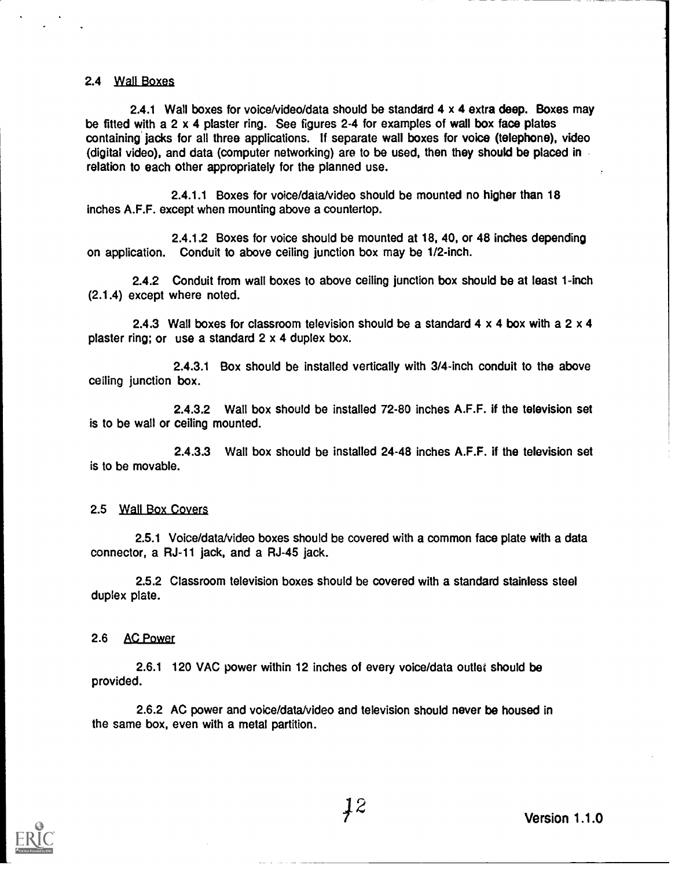### 2.4 Wall Boxes

2.4.1 Wall boxes for voice/video/data should be standard 4 x 4 extra deep. Boxes may be fitted with a 2 x 4 plaster ring. See figures 2-4 for examples of wall box face plates containing' jacks for all three applications. If separate wall boxes for voice (telephone), video (digital video), and data (computer networking) are to be used, then they should be placed in relation to each other appropriately for the planned use.

2.4.1.1 Boxes for voice/data/video should be mounted no higher than 18 inches A.F.F. except when mounting above a countertop.

2.4.1.2 Boxes for voice should be mounted at 18, 40, or 48 inches depending on application. Conduit to above ceiling junction box may be 1/2-inch.

2.4.2 Conduit from wall boxes to above ceiling junction box should be at least 1-inch (2.1.4) except where noted.

2.4.3 Wall boxes for classroom television should be a standard 4 x 4 box with a 2 x 4 plaster ring; or use a standard 2 x 4 duplex box.

2.4.3.1 Box should be installed vertically with 3/4-inch conduit to the above ceiling junction box.

2.4.3.2 Wall box should be installed 72-80 inches A.F.F. if the television set is to be wall or ceiling mounted.

2.4.3.3 Wall box should be installed 24-48 inches A.F.F. if the television set is to be movable.

#### 2.5 Wall Box Covers

2.5.1 Voice/data/video boxes should be covered with a common face plate with a data connector, a RJ-11 jack, and a RJ-45 jack.

2.5.2 Classroom television boxes should be covered with a standard stainless steel duplex plate.

#### 2.6 AC Power

2.6.1 120 VAC power within 12 inches of every voice/data outlet should be provided.

2.6.2 AC power and voice/data/video and television should never be housed in the same box, even with a metal partition.

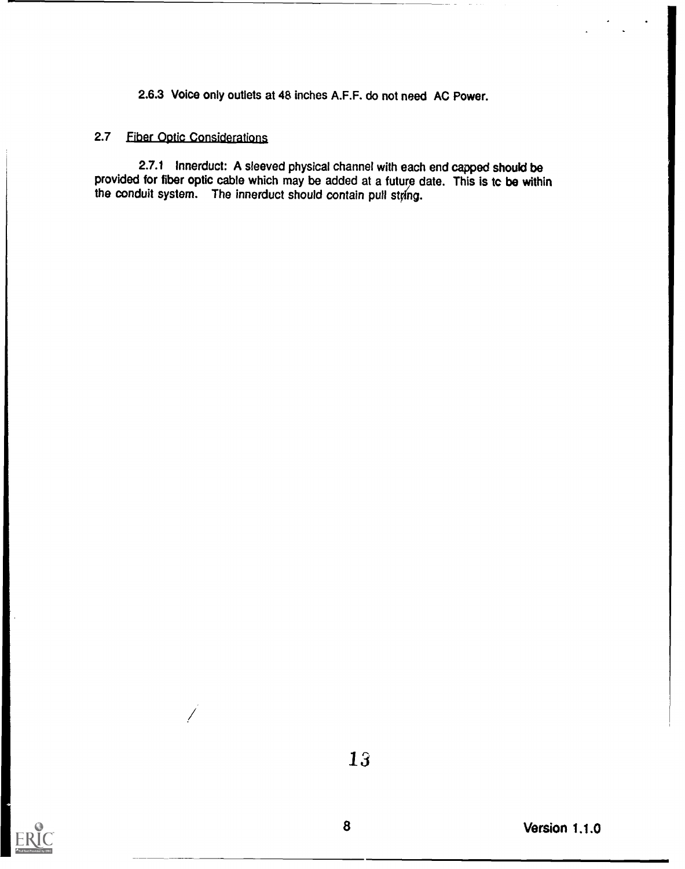2.6.3 Voice only outlets at 48 inches A.F.F. do not need AC Power.

### 2.7 fiber Optic Considerations

2.7.1 lnnerduct: A sleeved physical channel with each end capped should be provided for fiber optic cable which may be added at a future date. This is tc be within the conduit system. The innerduct should contain pull string.

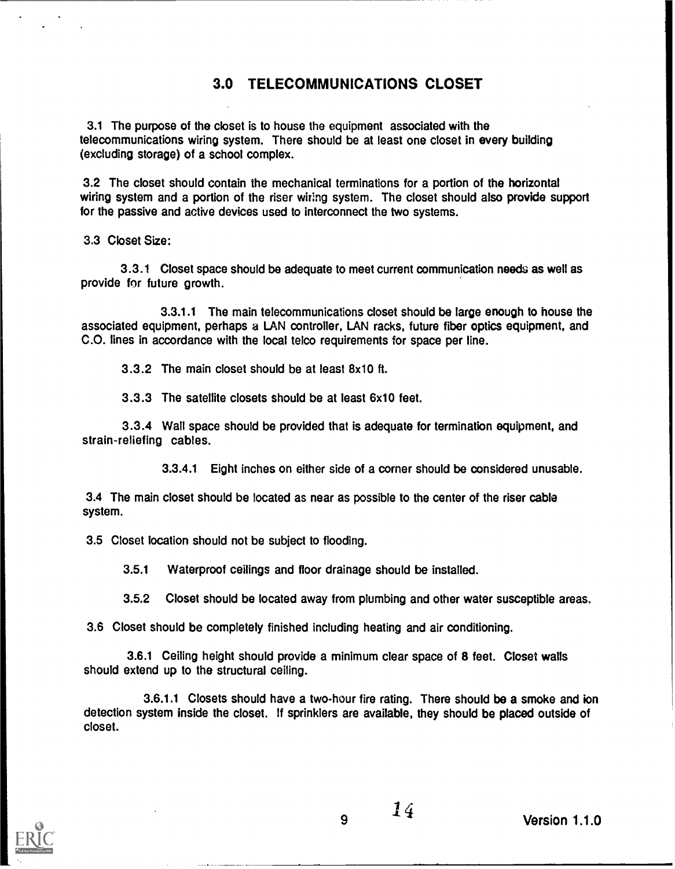### 3.0 TELECOMMUNICATIONS CLOSET

3.1 The purpose of the closet is to house the equipment associated with the telecommunications wiring system. There should be at least one closet in every building (excluding storage) of a school complex.

3.2 The closet should contain the mechanical terminations for a portion of the horizontal wiring system and a portion of the riser wiring system. The closet should also provide support for the passive and active devices used to interconnect the two systems.

3.3 Closet Size:

3.3.1 Closet space should be adequate to meet current communication needs as well as provide for future growth.

3.3.1.1 The main telecommunications closet should be large enough to house the associated equipment, perhaps a LAN controller, LAN racks, future fiber optics equipment, and C.O. lines in accordance with the local telco requirements for space per line.

3.3.2 The main closet should be at least 8x10 ft.

3.3.3 The satellite closets should be at least 6x10 feet.

3.3.4 Wall space should be provided that is adequate for termination equipment, and strain-reliefing cables.

3.3.4.1 Eight Inches on either side of a corner should be considered unusable.

3.4 The main closet should be located as near as possible to the center of the riser cable system.

3.5 Closet location should not be subject to flooding.

3.5.1 Waterproof ceilings and floor drainage should be installed.

3.5.2 Closet should be located away from plumbing and other water susceptible areas.

3.6 Closet should be completely finished including heating and air conditioning.

3.6.1 Ceiling height should provide a minimum clear space of 8 feet. Closet walls should extend up to the structural ceiling.

3.6.1.1 Closets should have a two-hour fire rating. There should be a smoke and ion detection system inside the closet. If sprinklers are available, they should be placed outside of closet.



/ 4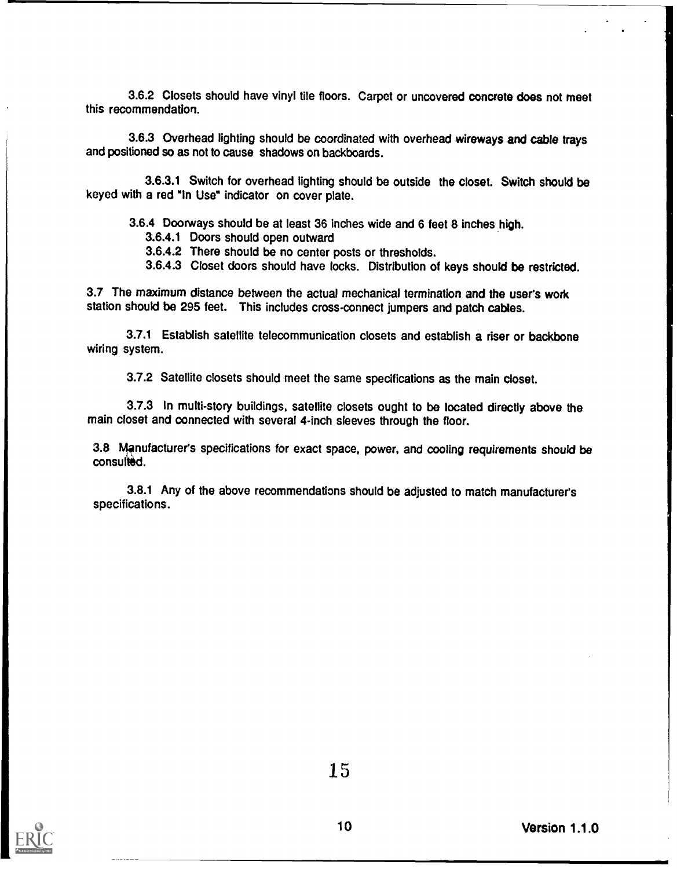3.6.2 Closets should have vinyl tile floors. Carpet or uncovered concrete does not meet this recommendation.

3.6.3 Overhead lighting should be coordinated with overhead wireways and cable trays and positioned so as not to cause shadows on backboards.

3.6.3.1 Switch for overhead lighting should be outside the closet. Switch should be keyed with a red "In Use" indicator on cover plate.

3.6.4 Doorways should be at least 36 inches wide and 6 feet 8 inches high.

3.6.4.1 Doors should open outward

3.6.4.2 There should be no center posts or thresholds.

3.6.4.3 Closet doors should have locks. Distribution of keys should be restricted.

3.7 The maximum distance between the actual mechanical termination and the user's work station should be 295 feet. This includes cross-connect jumpers and patch cables.

3.7.1 Establish satellite telecommunication closets and establish a riser or backbone wiring system.

3.7.2 Satellite closets should meet the same specifications as the main closet.

3.7.3 In multi-story buildings, satellite closets ought to be located directly above the main closet and connected with several 4-inch sleeves through the floor.

3.8 Manufacturer's specifications for exact space, power, and cooling requirements should be consulted.

3.8.1 Any of the above recommendations should be adjusted to match manufacturers specifications.



10 Version 1.1.0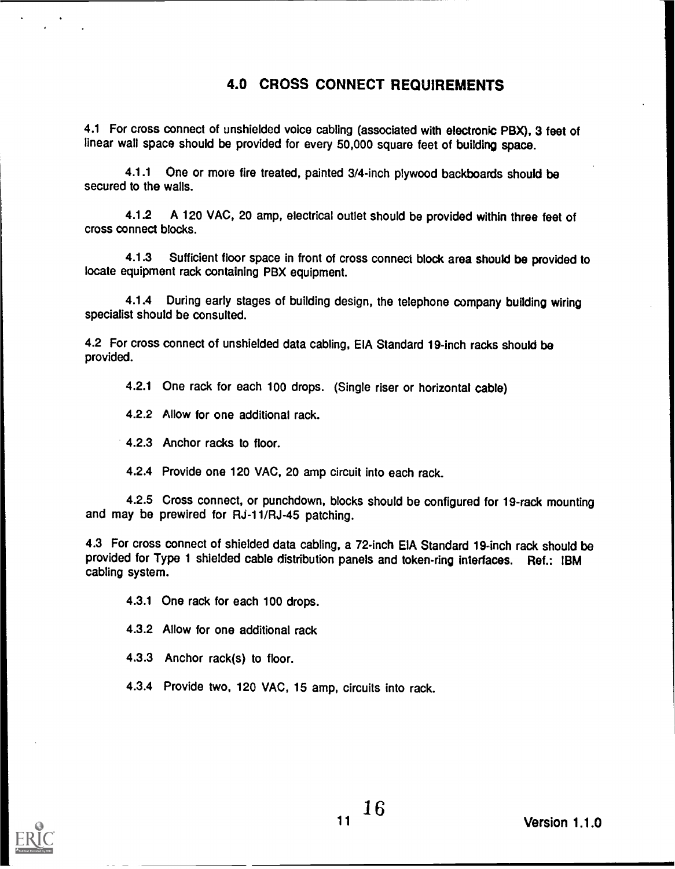### 4.0 CROSS CONNECT REQUIREMENTS

4.1 For cross connect of unshielded voice cabling (associated with electronic PBX), 3 feet of linear wall space should be provided for every 50,000 square feet of building space.

4.1.1 One or more fire treated, painted 3/4-inch plywood backboards should be secured to the walls.

4.1.2 A 120 VAC, 20 amp, electrical outlet should be provided within three feet of cross connect blocks.

4.1.3 Sufficient floor space in front of cross connect block area should be provided to locate equipment rack containing PBX equipment.

4.1.4 During early stages of building design, the telephone company building wiring specialist should be consulted.

4.2 For cross connect of unshielded data cabling, EIA Standard 19-inch racks should be provided.

4.2.1 One rack for each 100 drops. (Single riser or horizontal cable)

4.2.2 Allow for one additional rack.

4.2.3 Anchor racks to floor.

4.2.4 Provide one 120 VAC, 20 amp circuit into each rack.

4.2.5 Cross connect, or punchdown, blocks should be configured for 19-rack mounting and may be prewired for RJ-11/RJ-45 patching.

4.3 For cross connect of shielded data cabling, a 72-inch EIA Standard 19-inch rack should be provided for Type 1 shielded cable distribution panels and token-ring interfaces. Ref.: IBM cabling system.

4.3.1 One rack for each 100 drops.

4.3.2 Allow for one additional rack

4.3.3 Anchor rack(s) to floor.

4.3.4 Provide two, 120 VAC, 15 amp, circuits into rack.

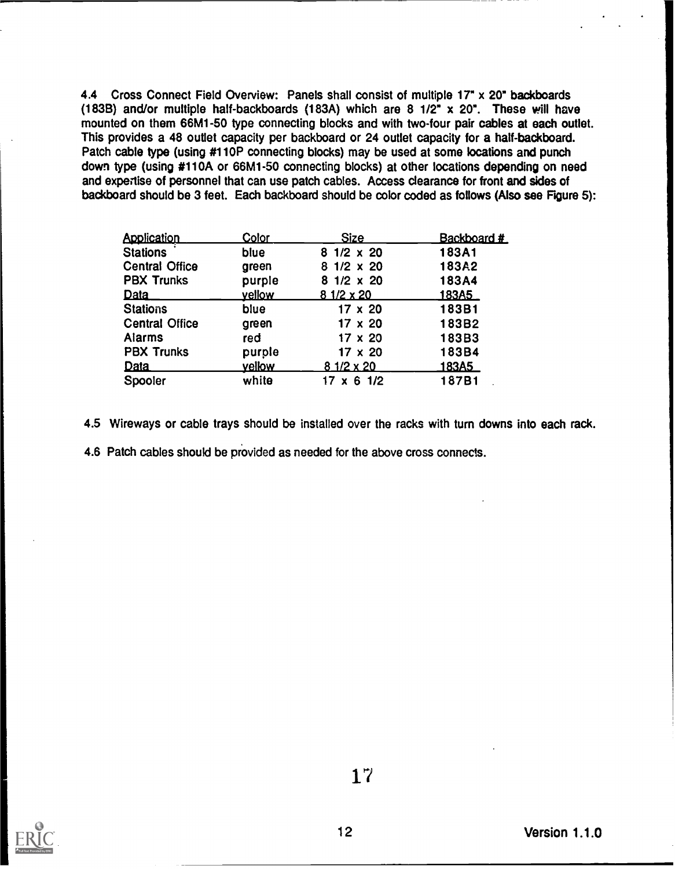4.4 Cross Connect Field Overview: Panels shall consist of multiple 17" x 20" backboards (183B) and/or multiple half-backboards (183A) which are 8  $1/2$ <sup>\*</sup> x 20<sup>\*</sup>. These will have mounted on them 66M1-50 type connecting blocks and with two-four pair cables at each outlet. This provides a 48 outlet capacity per backboard or 24 outlet capacity for a half-backboard. Patch cable type (using #110P connecting blocks) may be used at some locations and punch down type (using #110A or 66M1-50 connecting blocks) at other locations depending on need and expertise of personnel that can use patch cables. Access clearance for front and sides of backboard should be 3 feet. Each backboard should be color coded as follows (Also see Figure 5):

| <b>Application</b>    | Color  | <b>Size</b>       | Backboard #     |  |
|-----------------------|--------|-------------------|-----------------|--|
| <b>Stations</b>       | blue   | $81/2 \times 20$  | 183A1           |  |
| <b>Central Office</b> | green  | $81/2 \times 20$  | 183A2           |  |
| <b>PBX Trunks</b>     | purple | $81/2 \times 20$  | 183A4           |  |
| Data                  | vellow | $81/2 \times 20$  | <u> 183A5  </u> |  |
| <b>Stations</b>       | blue   | $17 \times 20$    | 183B1           |  |
| <b>Central Office</b> | green  | $17 \times 20$    | 183B2           |  |
| <b>Alarms</b>         | red    | 17 x 20           | 183B3           |  |
| <b>PBX Trunks</b>     | purple | $17 \times 20$    | 183B4           |  |
| <b>Data</b>           | vellow | 8 1/2 x 20        | <u> 183A5 </u>  |  |
| Spooler               | white  | $17 \times 6$ 1/2 | 187B1           |  |

4.5 Wireways or cable trays should be installed over the racks with turn downs into each rack.

4.6 Patch cables should be provided as needed for the above cross connects.

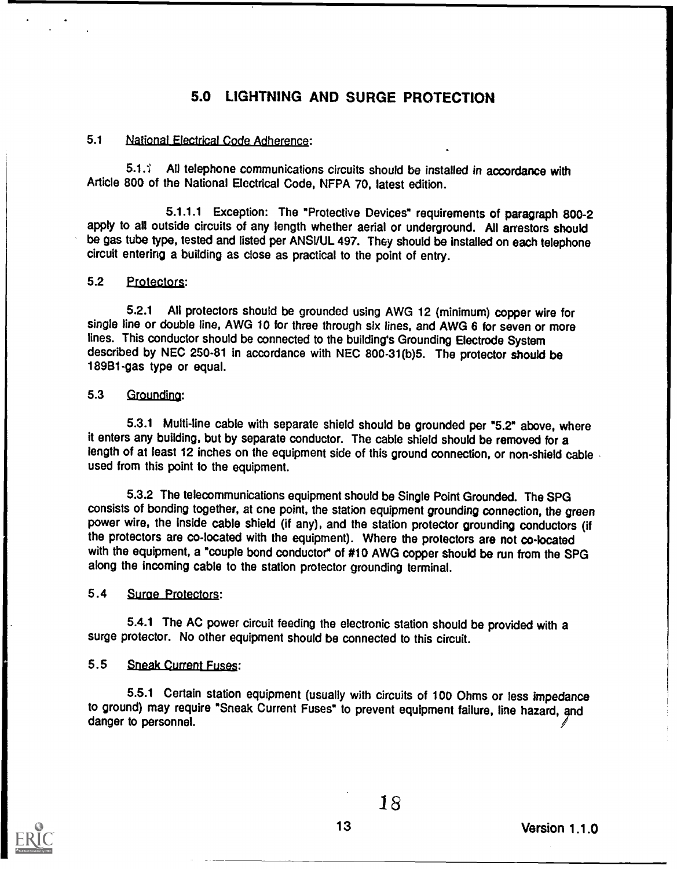### 5.0 LIGHTNING AND SURGE PROTECTION

### 5.1 National Electrical Code Adherence:

5.1.1 All telephone communications circuits should be installed in accordance with Article 800 of the National Electrical Code, NFPA 70, latest edition.

5.1.1.1 Exception: The "Protective Devices" requirements of paragraph 800-2 apply to all outside circuits of any length whether aerial or underground. All arrestors should be gas tube type, tested and listed per ANSVUL 497. They should be installed on each telephone circuit entering a building as close as practical to the point of entry.

### 5.2 Protectors:

5.2.1 All protectors should be grounded using AWG 12 (minimum) copper wire for single line or double line, AWG 10 for three through six lines, and AWG 6 for seven or more lines. This conductor should be connected to the building's Grounding Electrode System described by NEC 250-81 in accordance with NEC 800-31(b)5. The protector should be 189B1-gas type or equal.

### 5.3 Grounding:

5.3.1 Multi-line cable with separate shield should be grounded per "5.2" above, where it enters any building, but by separate conductor. The cable shield should be removed for a length of at least 12 inches on the equipment side of this ground connection, or non-shield cable. used from this point to the equipment.

5.3.2 The telecommunications equipment should be Single Point Grounded. The SPG consists of bonding together, at one point, the station equipment grounding connection, the green power wire, the inside cable shield (if any), and the station protector grounding conductors (if the protectors are co-located with the equipment). Where the protectors are not co-located with the equipment, a "couple bond conductor" of #10 AWG copper should be run from the SPG along the incoming cable to the station protector grounding terminal.

### 5.4 Surge Protectors:

5.4.1 The AC power circuit feeding the electronic station should be provided with a surge protector. No other equipment should be connected to this circuit.

### 5.5 Sneak Current Fuses:

5.5.1 Certain station equipment (usually with circuits of 100 Ohms or less impedance to ground) may require "Sneak Current Fuses" to prevent equipment failure, line hazard, and danger to personnel.

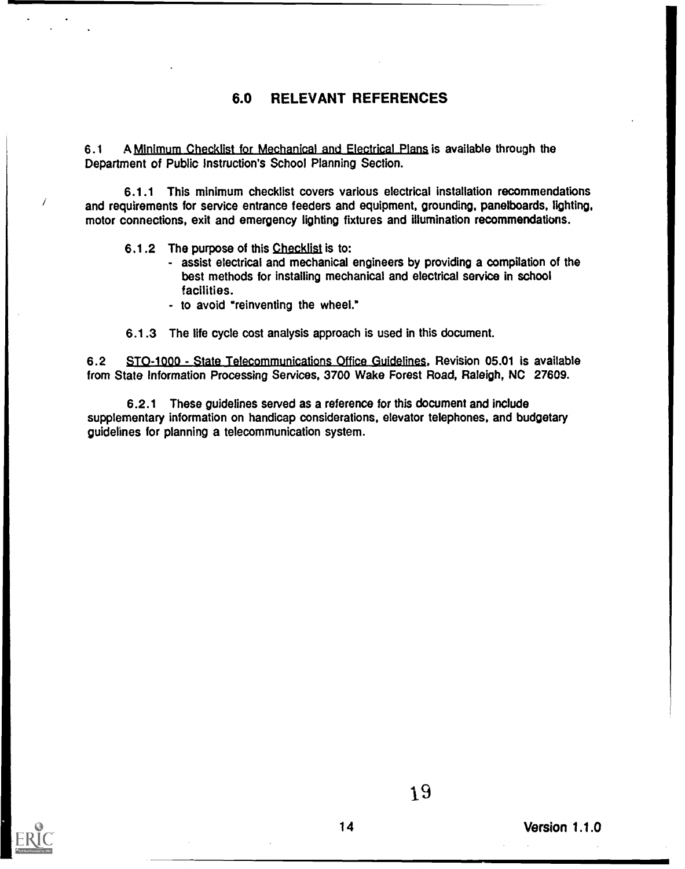### 6.0 RELEVANT REFERENCES

6.1 A Minimum Checklist for Mechanical and Electrical Plans is available through the Department of Public Instruction's School Planning Section.

6.1.1 This minimum checklist covers various electrical installation recommendations and requirements for service entrance feeders and equipment, grounding, panelboards, lighting, motor connections, exit and emergency lighting fixtures and illumination recommendations.

- 6.1.2 The purpose of this Checklist is to:
	- assist electrical and mechanical engineers by providing a compilation of the best methods for installing mechanical and electrical service in school facilities.
	- to avoid "reinventing the wheel."
- 6.1.3 The life cycle cost analysis approach is used in this document.

6.2 STO-1000 - State Telecommunications Office Guidelines, Revision 05.01 is available from State information Processing Services, 3700 Wake Forest Road, Raleigh, NC 27609.

6.2.1 These guidelines served as a reference for this document and include supplementary information on handicap considerations, elevator telephones, and budgetary guidelines for planning a telecommunication system.



Ī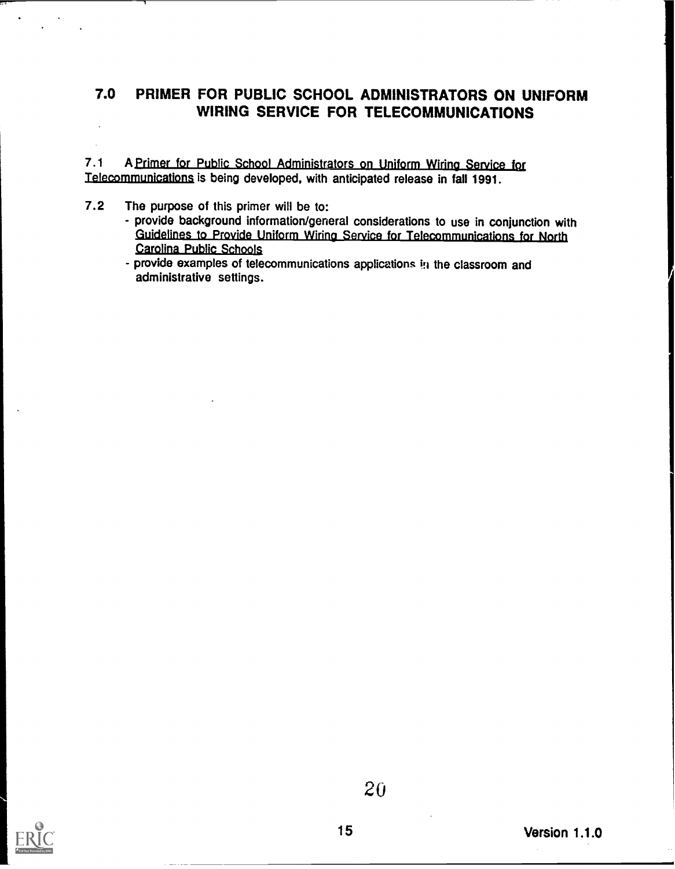### 7.0 PRIMER FOR PUBLIC SCHOOL ADMINISTRATORS ON UNIFORM WIRING SERVICE FOR TELECOMMUNICATIONS

7.1 A Primer for Public School Administrators on Uniform Wiring Service for Telecommunications is being developed, with anticipated release in fall 1991.

- 7.2 The purpose of this primer will be to:
	- provide background information/general considerations to use in conjunction with Guidelines to Provide Uniform Wiring Service for Telecommunications for North Carolina Public Schools
	- provide examples of telecommunications applications in the classroom and administrative settings.

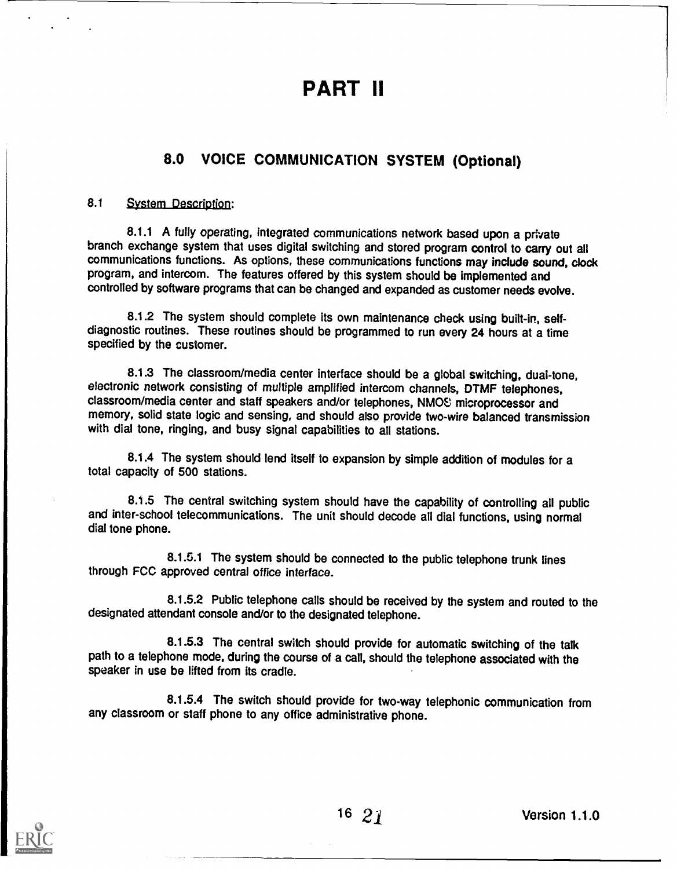### PART II

### 8.0 VOICE COMMUNICATION SYSTEM (Optional)

### 8.1 System Description:

8.1.1 A fully operating, integrated communications network based upon a private branch exchange system that uses digital switching and stored program control to carry out all communications functions. As options, these communications functions may include sound, clock program, and intercom. The features offered by this system should be implemented and controlled by software programs that can be changed and expanded as customer needs evolve.

8.1.2 The system should complete its own maintenance check using built-in, selfdiagnostic routines. These routines should be programmed to run every 24 hours at a time specified by the customer.

8.1.3 The classroom/media center interface should be a global switching, dual-tone, electronic network consisting of multiple amplified intercom channels, DTMF telephones, classroom/media center and staff speakers and/or telephones, NMOS microprocessor and memory, solid state logic and sensing, and should also provide two-wire balanced transmission with dial tone, ringing, and busy signal capabilities to all stations.

8.1.4 The system should lend itself to expansion by simple addition of modules for a total capacity of 500 stations.

8.1.5 The central switching system should have the capability of controlling all public and inter-school telecommunications. The unit should decode all dial functions, using normal dial tone phone.

8.1.5.1 The system should be connected to the public telephone trunk lines through FCC approved central office interface.

8.1.5.2 Public telephone calls should be received by the system and routed to the designated attendant console and/or to the designated telephone.

8.1.5.3 The central switch should provide for automatic switching of the talk path to a telephone mode, during the course of a call, should the telephone associated with the speaker in use be lifted from its cradle.

8.1.5.4 The switch should provide for two-way telephonic communication from any classroom or staff phone to any office administrative phone.

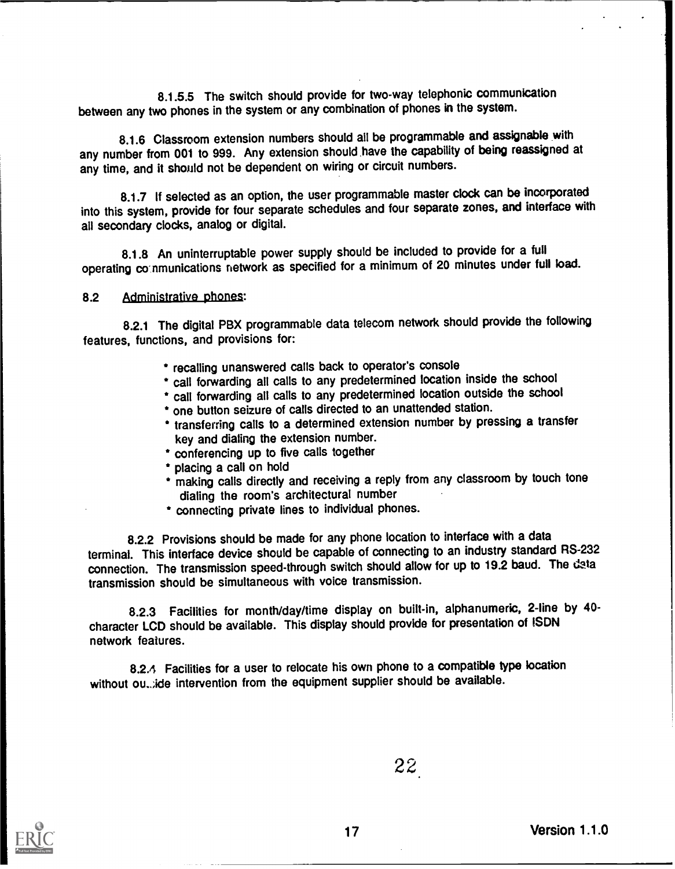8.1.5.5 The switch should provide for two-way telephonic communication between any two phones in the system or any combination of phones in the system.

8.1.6 Classroom extension numbers should all be programmable and assignable with any number from 001 to 999. Any extension should have the capability of being reassigned at any time, and it should not be dependent on wiring or circuit numbers.

8.1.7 If selected as an option, the user programmable master clock can be incorporated into this system, provide for four separate schedules and four separate zones, and interface with all secondary clocks, analog or digital.

8.1.8 An uninterruptable power supply should be included to provide for a full operating communications network as specified for a minimum of 20 minutes under full load.

8.2 Administrative phones:

8.2.1 The digital PBX programmable data telecom network should provide the following features, functions, and provisions for:

- \* recalling unanswered calls back to operator's console
- \* call forwarding all calls to any predetermined location inside the school
- call forwarding all calls to any predetermined location outside the school
- one button seizure of calls directed to an unattended station.
- \* transferring calls to a determined extension number by pressing a transfer key and dialing the extension number.
- \* conferencing up to five calls together
- placing a call on hold
- making calls directly and receiving a reply from any classroom by touch tone dialing the room's architectural number
- connecting private lines to individual phones.

8.2.2 Provisions should be made for any phone location to interface with a data terminal. This interface device should be capable of connecting to an industry standard RS-232 connection. The transmission speed-through switch should allow for up to 19.2 baud. The data transmission should be simultaneous with voice transmission.

8.2.3 Facilities for month/day/time display on built-in, alphanumeric, 2-line by 40 character LCD should be available. This display should provide for presentation of ISDN network features.

8.2.4 Facilities for a user to relocate his own phone to a compatible type location without ou...; ide intervention from the equipment supplier should be available.



22.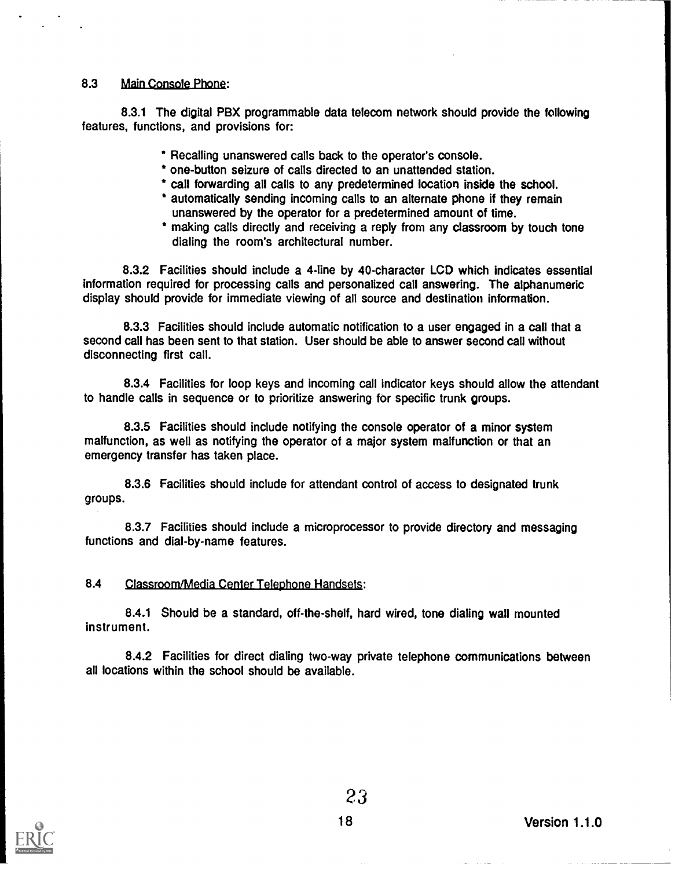### 8.3 Main Console Phone:

8.31 The digital PBX programmable data telecom network should provide the following features, functions, and provisions for:

- \* Recalling unanswered calls back to the operator's console.
- \* one-button seizure of calls directed to an unattended station.
- \* call forwarding all calls to any predetermined location inside the school.
- \* automatically sending incoming calls to an alternate phone if they remain unanswered by the operator for a predetermined amount of time.
- \* making calls directly and receiving a reply from any classroom by touch tone dialing the room's architectural number.

8.3.2 Facilities should include a 4-line by 40-character LCD which indicates essential information required for processing calls and personalized call answering. The alphanumeric display should provide for immediate viewing of all source and destination information.

8.3.3 Facilities should include automatic notification to a user engaged in a call that a second call has been sent to that station. User should be able to answer second call without disconnecting first call.

8.3.4 Facilities for loop keys and incoming call indicator keys should allow the attendant to handle calls in sequence or to prioritize answering for specific trunk groups.

8.3.5 Facilities should include notifying the console operator of a minor system malfunction, as well as notifying the operator of a major system malfunction or that an emergency transfer has taken place.

8.3.6 Facilities should include for attendant control of access to designated trunk groups.

8.3.7 Facilities should include a microprocessor to provide directory and messaging functions and dial-by-name features.

### 8.4 Classroom/Media Center Telephone Handsets:

8.4.1 Should be a standard, off-the-shelf, hard wired, tone dialing wall mounted instrument.

8.4.2 Facilities for direct dialing two-way private telephone communications between all locations within the school should be available.

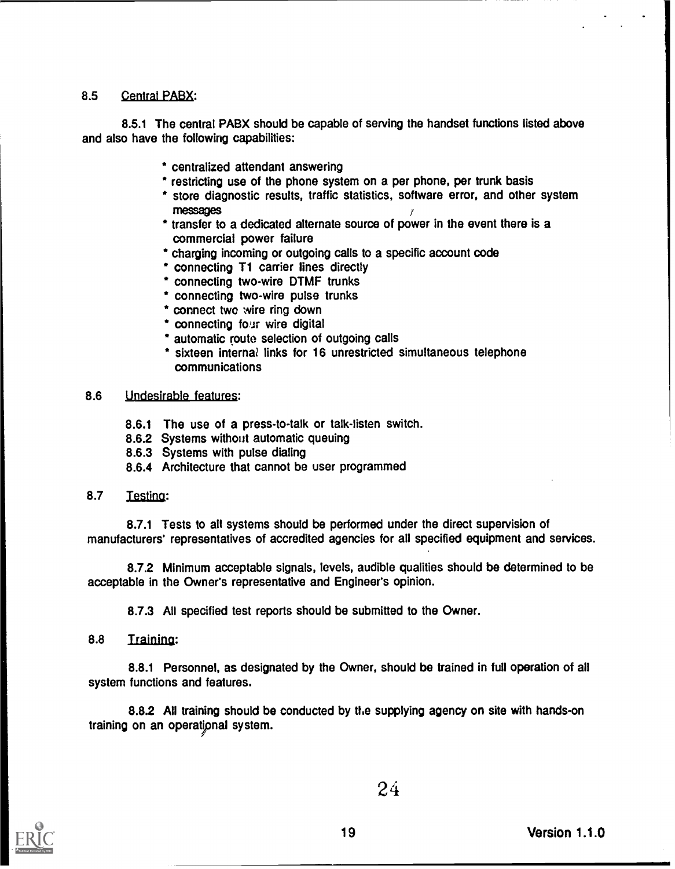### 8.5 Central PABX:

8.5.1 The central PABX should be capable of serving the handset functions listed above and also have the following capabilities:

- centralized attendant answering
- \* restricting use of the phone system on a per phone, per trunk basis
- \* store diagnostic results, traffic statistics, software error, and other system messages
- \* transfer to a dedicated alternate source of power in the event there is a commercial power failure
- charging incoming or outgoing calls to a specific account code
- \* connecting T1 carrier lines directly
- connecting two-wire DTMF trunks
- connecting two-wire pulse trunks
- \* connect two wire ring down
- \* connecting four wire digital
- automatic route selection of outgoing calls
- \* sixteen internal links for 16 unrestricted simultaneous telephone communications

### 8.6 Undesirable features:

- 8.6.1 The use of a press-to-talk or talk-listen switch.
- 8.6.2 Systems without automatic queuing
- 8.6.3 Systems with pulse dialing
- 8.6.4 Architecture that cannot be user programmed

### 8.7 Testing:

8.7.1 Tests to all systems should be performed under the direct supervision of manufacturers' representatives of accredited agencies for all specified equipment and services.

8.7.2 Minimum acceptable signals, levels, audible qualities should be determined to be acceptable in the Owner's representative and Engineer's opinion.

8.7.3 All specified test reports should be submitted to the Owner.

8.8 Training:

8.8.1 Personnel, as designated by the Owner, should be trained in full operation of all system functions and features.

8.8.2 All training should be conducted by the supplying agency on site with hands-on training on an operational system.



24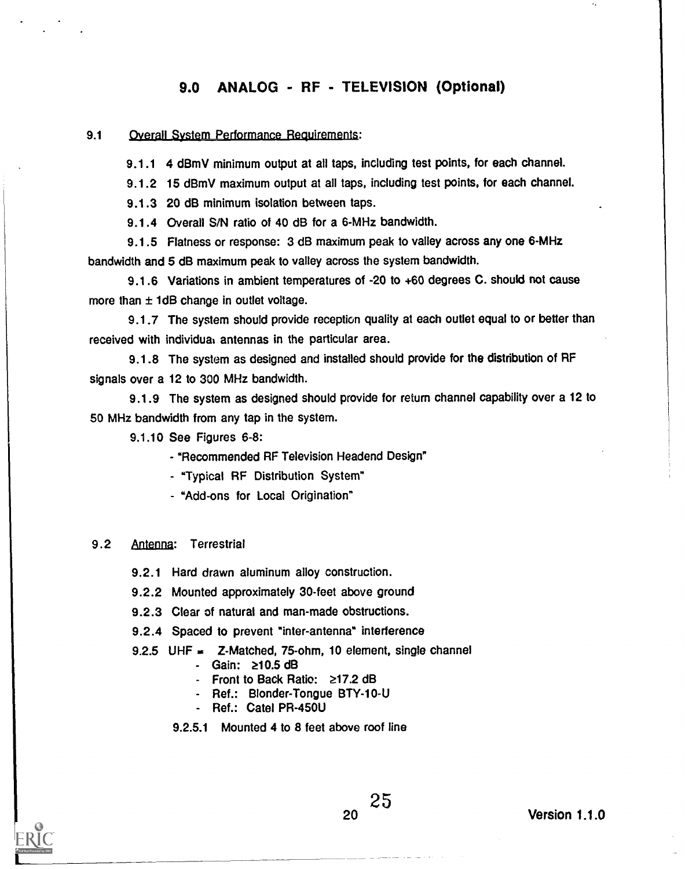### 9.0 ANALOG - RF - TELEVISION (Optional)

### 9.1 Overall System Performance Requirements:

9.1.1 4 dBmV minimum output at all taps, including test points, for each channel.

9.1.2 15 dBmV maximum output at all taps, including test points, for each channel.

9.1.3 20 dB minimum isolation between taps.

9.1.4 Overall SIN ratio of 40 dB for a 6-MHz bandwidth.

9.1.5 Flatness or response: 3 dB maximum peak to valley across any one 6-MHz bandwidth and 5 dB maximum peak to valley across the system bandwidth.

9.1.6 Variations in ambient temperatures of -20 to +60 degrees C. should not cause more than  $\pm$  1dB change in outlet voltage.

9.1.7 The system should provide reception quality at each outlet equal to or better than received with individual antennas in the particular area.

9.1.8 The system as designed and installed should provide for the distribution of RF signals over a 12 to 300 MHz bandwidth.

9.1.9 The system as designed should provide for return channel capability over a 12 to 50 MHz bandwidth from any tap in the system.

9.1.10 See Figures 6-8:

- "Recommended RF Television Headend Design"

- "Typical RF Distribution System"

- "Add-ons for Local Origination"

### 9.2 Antenna: Terrestrial

9.2.1 Hard drawn aluminum alloy construction.

9.2.2 Mounted approximately 30-feet above ground

9.2.3 Clear of natural and man-made obstructions.

9.2.4 Spaced to prevent "inter-antenna" interference

9.2.5 UHF  $\equiv$  Z-Matched, 75-ohm, 10 element, single channel

- Gain: 210.5 dB
- Front to Back Ratio: 217.2 dB
- Ref.: Blonder-Tongue BTY-10-U
- Ref.: Cate! PR-450U
- 9.2.5.1 Mounted 4 to 8 feet above roof line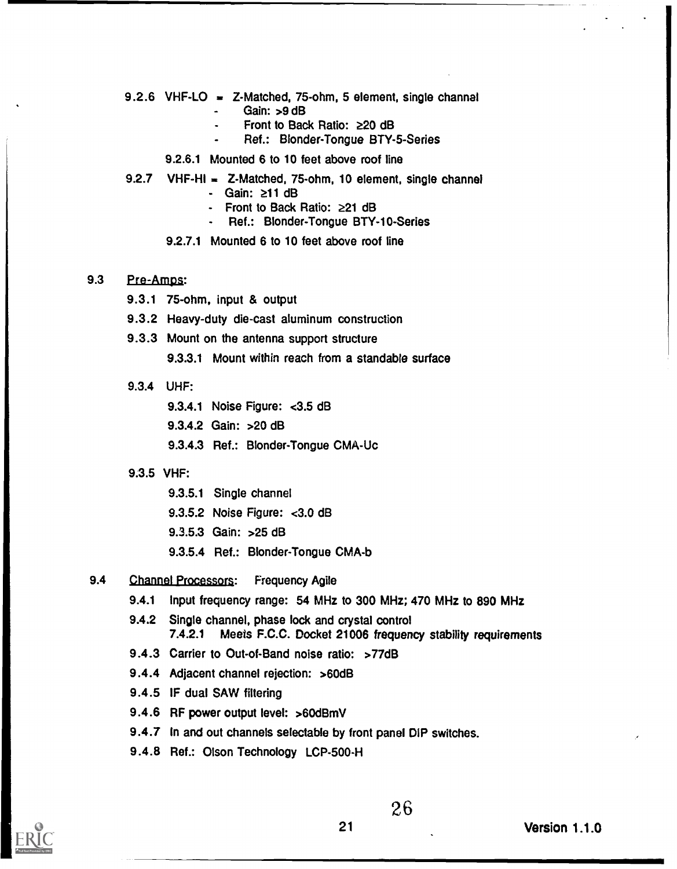- 9.2.6 VHF-LO = Z-Matched, 75-ohm, 5 element, single channel Gain: >9 dB
	- Front to Back Ratio:  $\geq 20$  dB
	- Ref.: Blonder-Tongue BTY-5-Series
	- 9.2.6.1 Mounted 6 to 10 feet above roof line
- 9.2.7 VHF-HI = Z-Matched, 75-ohm, 10 element, single channel
	- Gain: z11 dB
	- Front to Back Ratio:  $\geq 21$  dB
	- Ref.: Blonder-Tongue BTY-10-Series
	- 9.2.7.1 Mounted 6 to 10 feet above roof line

### 9.3 Pre-Amps:

- 9.3.1 75-ohm, input & output
- 9.3.2 Heavy-duty die-cast aluminum construction
- 9.3.3 Mount on the antenna support structure
	- 9.3.3.1 Mount within reach from a standable surface
- 9.3.4 UHF:
	- 9.3.4.1 Noise Figure: <3.5 dB
	- 9.3.4.2 Gain: >20 dB
	- 9.3.4.3 Ref.: Blonder-Tongue CMA-Uc
- 9.3.5 VHF:
	- 9.3.5.1 Single channel
	- 9.3.5.2 Noise Figure: <3.0 dB
	- 9.3.5.3 Gain: >25 dB
	- 9.3.5.4 Ref.: Blonder-Tongue CMA-b
- 9.4 Channel Processors: Frequency Agile
	- 9.4.1 Input frequency range: 54 MHz to 300 MHz; 470 MHz to 890 MHz
	- 9.4.2 Single channel, phase lock and crystal control 7.4.2.1 Meets F.C.C. Docket 21006 frequency stability requirements
	- 9.4.3 Carrier to Out-of-Band noise ratio: >77dB
	- 9.4.4 Adjacent channel rejection: >60dB
	- 9.4.5 IF dual SAW filtering
	- 9.4.6 RF power output level: >60dBmV
	- 9.4.7 In and out channels selectable by front panel DIP switches.
	- 9.4.8 Ref.: Olson Technology LCP-500-H

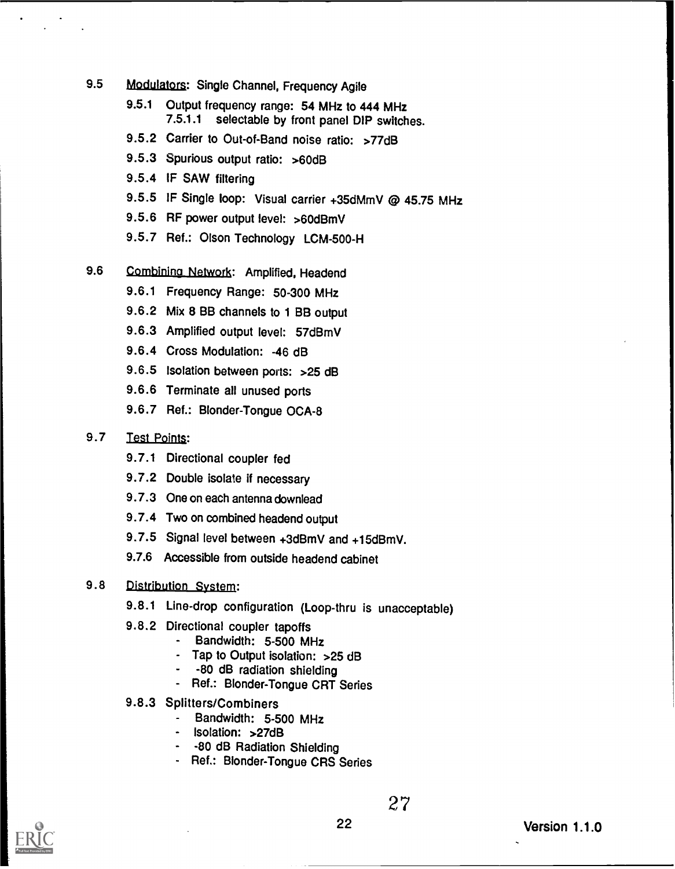- 9.5 Modulators: Single Channel, Frequency Agile
	- 9.5.1 Output frequency range: 54 MHz to 444 MHz<br>7.5.1.1 selectable by front panel DIP switch selectable by front panel DIP switches.
	- 9.5.2 Carrier to Out-of-Band noise ratio: >77dB
	- 9.5.3 Spurious output ratio: >60dB
	- 9.5.4 IF SAW filtering
	- 9.5.5 IF Single loop: Visual carrier +35dMmV @ 45.75 MHz
	- 9.5.6 RF power output level: >60dBmV
	- 9.5.7 Ref.: Olson Technology LCM-500-H
- 9.6 Combining Network: Amplified, Headend
	- 9.6.1 Frequency Range: 50-300 MHz
	- 9.6.2 Mix 8 BB channels to 1 BB output
	- 9.6.3 Amplified output level: 57dBmV
	- 9.6.4 Cross Modulation: -46 dB
	- 9.6.5 Isolation between ports: > 25 dB
	- 9.6.6 Terminate all unused ports
	- 9.6.7 Ref.: Blonder-Tongue OCA-8

### 9.7 Test Points:

- 9.7.1 Directional coupler fed
- 9.7.2 Double isolate if necessary
- 9.7.3 One on each antenna downlead
- 9.7.4 Two on combined headend output
- 9.7.5 Signal level between +3dBmV and +15dBmV.
- 9.7.6 Accessible from outside headend cabinet

### 9.8 Distribution System:

- 9.8.1 Line-drop configuration (Loop-thru is unacceptable)
- 9.8.2 Directional coupler tapoffs
	- Bandwidth: 5-500 MHz
	- Tap to Output isolation: > 25 dB
	- -80 dB radiation shielding
	- Ref.: Blonder-Tongue CRT Series
- 9.8.3 Splitters/Combiners
	- Bandwidth: 5-500 MHz
	- Isolation: >27dB
	- -80 dB Radiation Shielding
	- Ref.: Blonder-Tongue CRS Series

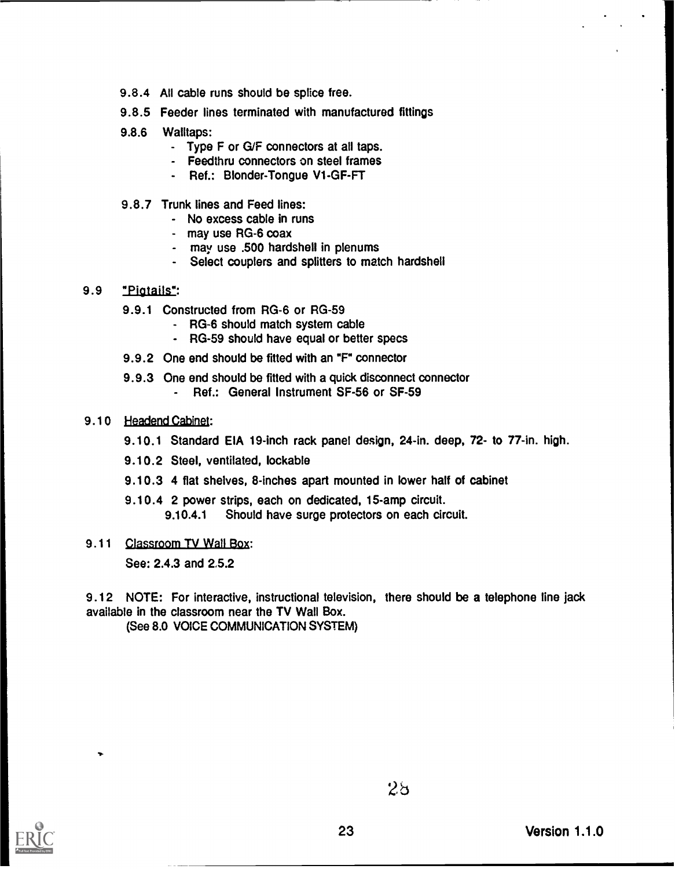- 9.8.4 All cable runs should be splice free.
- 9.8.5 Feeder lines terminated with manufactured fittings
- 9.8.6 Walltaps:
	- Type F or G/F connectors at all taps.
	- Feedthru connectors on steel frames
	- Ref.: Blonder-Tongue V1-GF-FT
- 9.8.7 Trunk lines and Feed lines:
	- No excess cable in runs
	- may use RG-6 coax
	- may use .500 hardshell in plenums
	- Select couplers and splitters to match hardshell

### 9.9 "Pigtails":

- 9.9.1 Constructed from RG-6 or RG-59
	- RG-6 should match system cable
	- RG-59 should have equal or better specs
- 9.9.2 One end should be fitted with an "F" connector
- 9.9.3 One end should be fitted with a quick disconnect connector
	- Ref.: General Instrument SF-56 or SF-59
- 9.10 Headend Cabinet:
	- 9.10.1 Standard EIA 19-inch rack panel design, 24-in. deep, 72- to 77-in. high.
	- 9.10.2 Steel, ventilated, lockable
	- 9.10.3 4 flat shelves, 8-inches apart mounted in lower half of cabinet
	- 9.10.4 2 power strips, each on dedicated, 15-amp circuit.
		- 9.10.4.1 Should have surge protectors on each circuit.
- 9.11 Classroom TV Wall Box:

See: 2.4.3 and 2.5.2

9.12 NOTE: For interactive, instructional television, there should be a telephone line jack available in the classroom near the TV Wall Box.

(See 8.0 VOICE COMMUNICATION SYSTEM)



...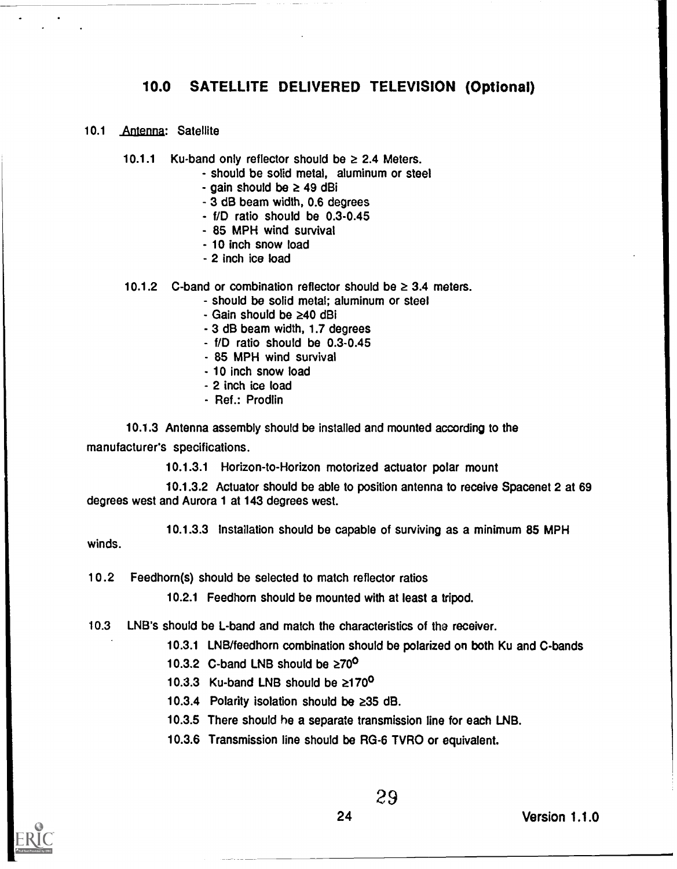### 10.0 SATELLITE DELIVERED TELEVISION (Optional)

- 10.1 Antenna: Satellite
	- 10.1.1 Ku-band only reflector should be  $\geq$  2.4 Meters.
		- should be solid metal, aluminum or steel
		- gain should be  $\geq 49$  dBi
		- 3 dB beam width, 0.6 degrees
		- f/D ratio should be 0.3-0.45
		- 85 MPH wind survival
		- 10 inch snow load
		- 2 inch ice load
	- 10.1.2 C-band or combination reflector should be  $\geq$  3.4 meters.
		- should be solid metal; aluminum or steel
			- $-$  Gain should be  $\geq 40$  dBi
			- 3 dB beam width, 1.7 degrees
			- f/D ratio should be 0.3-0.45
			- 85 MPH wind survival
			- 10 inch snow load
			- 2 inch ice load
			- Ref.: Prodlin

10.1.3 Antenna assembly should be installed and mounted according to the manufacturer's specifications.

10.1.3.1 Horizon-to-Horizon motorized actuator polar mount

10.1.3.2 Actuator should be able to position antenna to receive Spacenet 2 at 69 degrees west and Aurora 1 at 143 degrees west.

10.1.3.3 Installation should be capable of surviving as a minimum 85 MPH

winds.

10.2 Feedhom(s) should be selected to match reflector ratios

10.2.1 Feedhorn should be mounted with at least a tripod.

- 10.3 LNB's should be L-band and match the characteristics of the receiver.
	- 10.3.1 LNB/feedhorn combination should be polarized on both Ku and C-bands
	- 10.3.2 C-band LNB should be  $\geq 70^\circ$
	- 10.3.3 Ku-band LNB should be  $\geq 170^{\circ}$
	- 10.3.4 Polarity isolation should be  $\geq$ 35 dB.
	- 10.3.5 There should he a separate transmission line for each LNB.
	- 10.3.6 Transmission line should be RG-6 TVRO or equivalent.

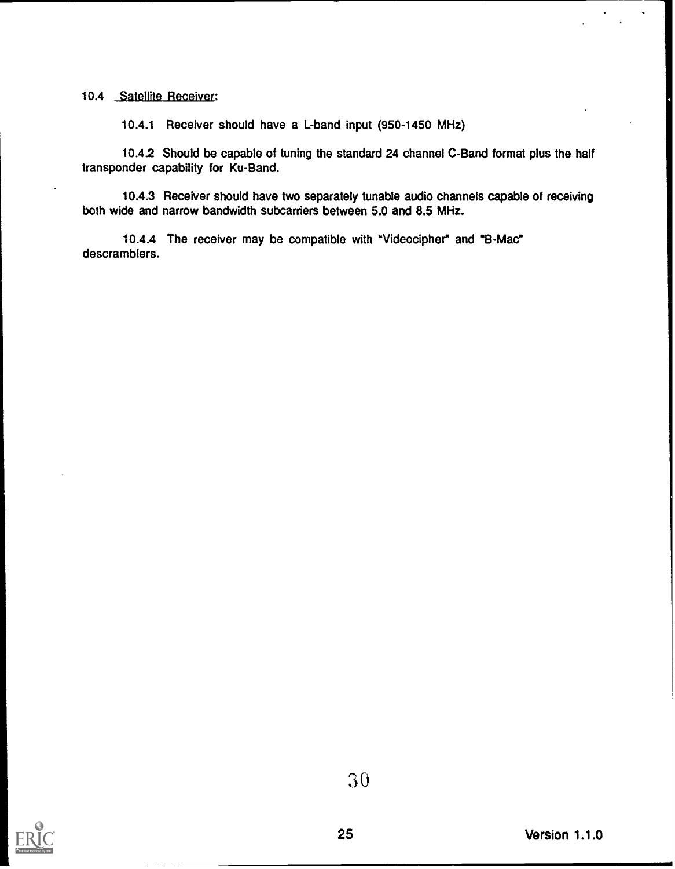### 10.4 Satellite Receiver:

10.4.1 Receiver should have a L-band input (950-1450 MHz)

10.4.2 Should be capable of tuning the standard 24 channel C-Band format plus the half transponder capability for Ku-Band.

10.4.3 Receiver should have two separately tunable audio channels capable of receiving both wide and narrow bandwidth subcarriers between 5.0 and 8.5 MHz.

10.4.4 The receiver may be compatible with "Videocipher" and "B-Mac" descramblers.

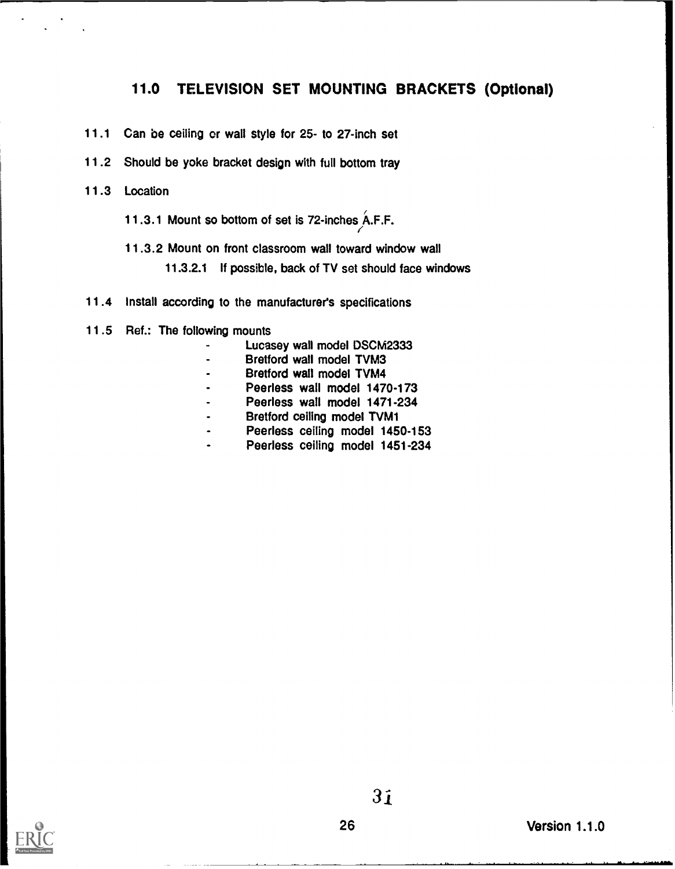### 11.0 TELEVISION SET MOUNTING BRACKETS (Optional)

 $\epsilon$ 

- 11.1 Can be ceiling or wall style for 25- to 27-inch set
- 11.2 Should be yoke bracket design with full bottom tray
- 11.3 Location
	- 11.3.1 Mount so bottom of set is 72-inches A.F.F.
	- 11.3.2 Mount on front classroom wall toward window wall
		- 11.3.2.1 If possible, back of TV set should face windows
- 11.4 Install according to the manufacturer's specifications
- 11.5 Ref.: The following mounts
	- Lucasey wall model DSCM2333
	- Bretford wall model TVM3
	- Bretford wall model TVM4
	- Peerless wall model 1470-173
	- Peerless wall model 1471-234
	- Bretford ceiling model TVM1  $\overline{a}$
	- Peerless ceiling model 1450-153  $\ddot{\phantom{a}}$
	- Peerless ceiling model 1451-234  $\ddot{\phantom{a}}$

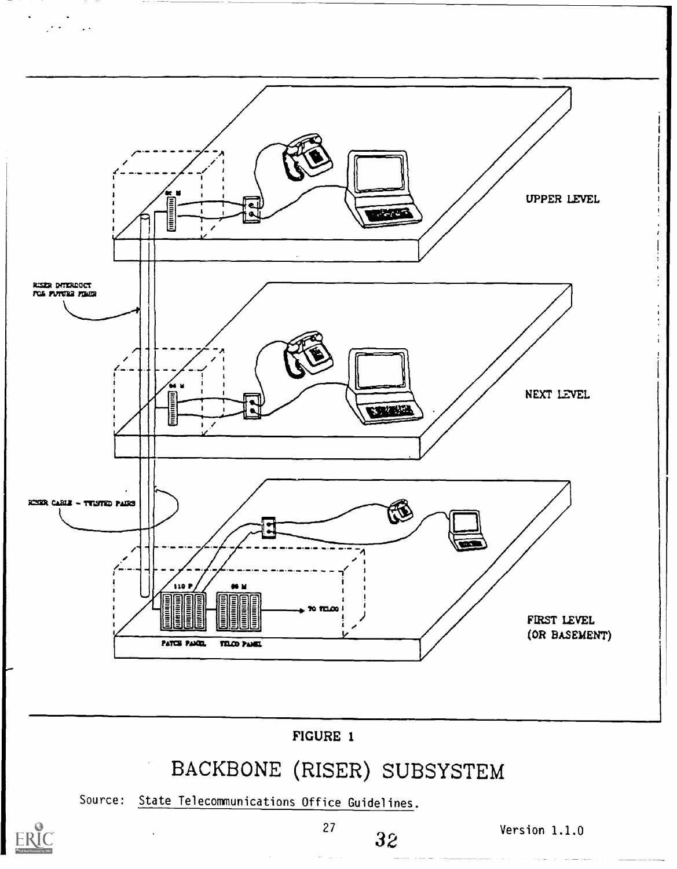

ER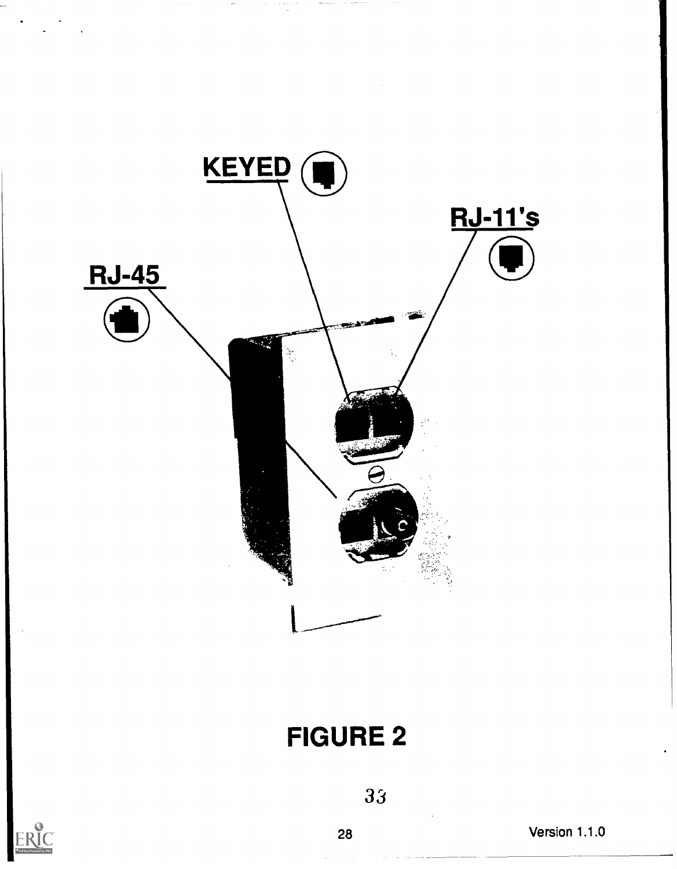

# FIGURE 2



33

28 Version 1.1.0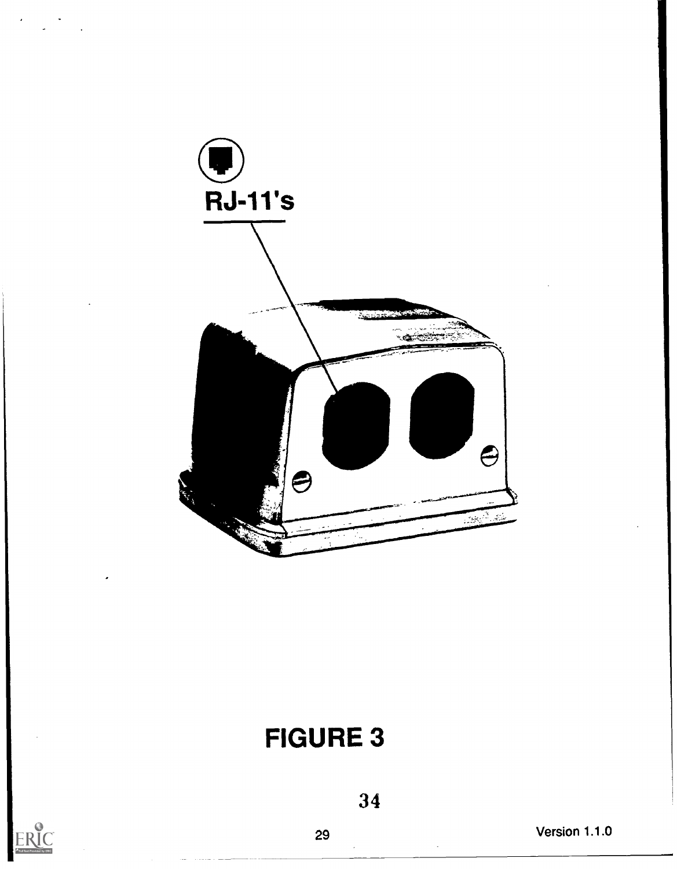

# FIGURE 3



29 Version 1.1.0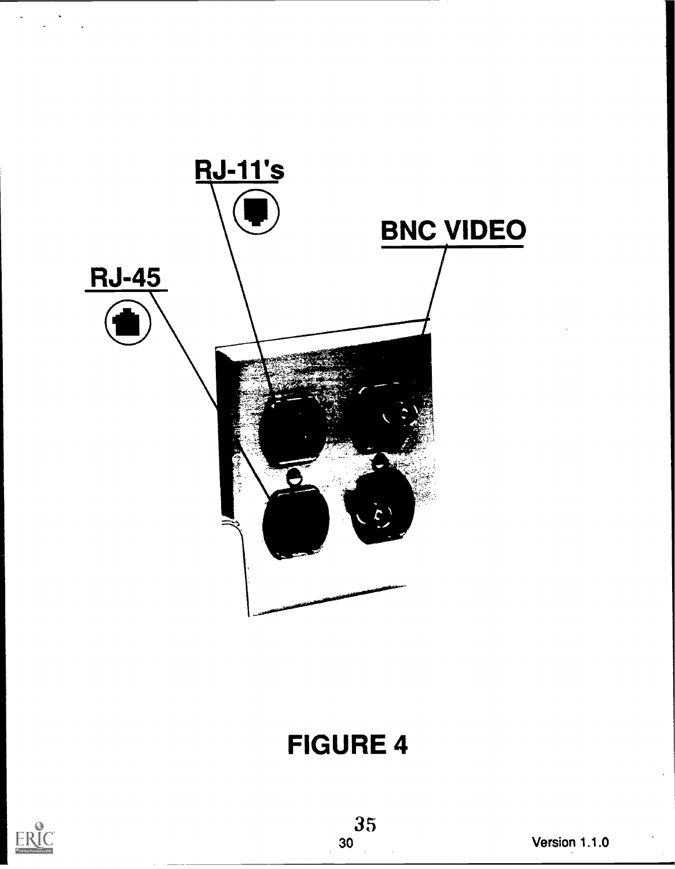

# FIGURE 4

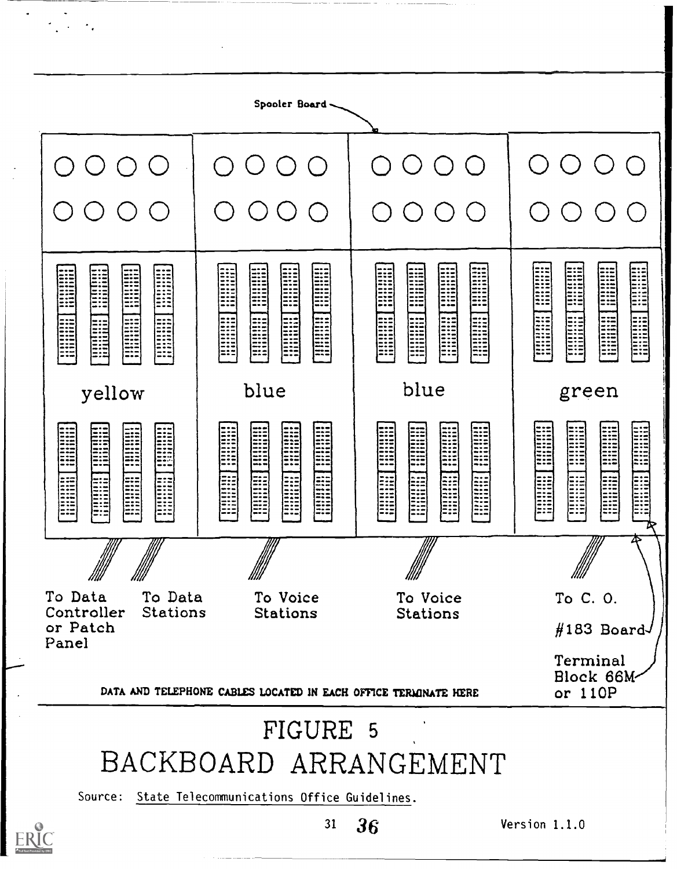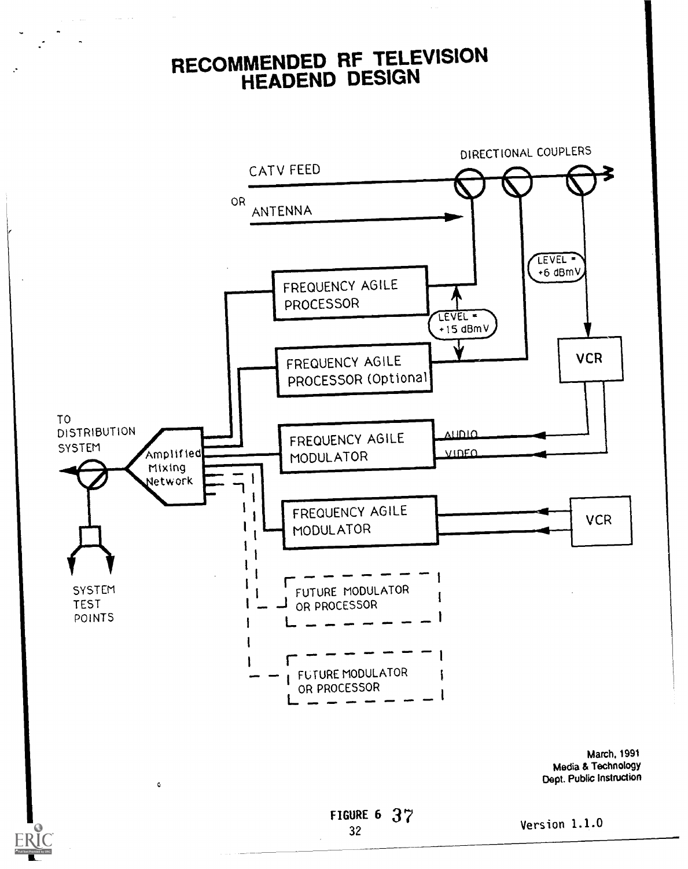### RECOMMENDED RF TELEVISION<br>LIFAREND DESIGN HEADEND DESIGN



March, 1991 Media & Technology Dept. Public Instruction



 $\mathbf{G}$ 

Version 1.1.0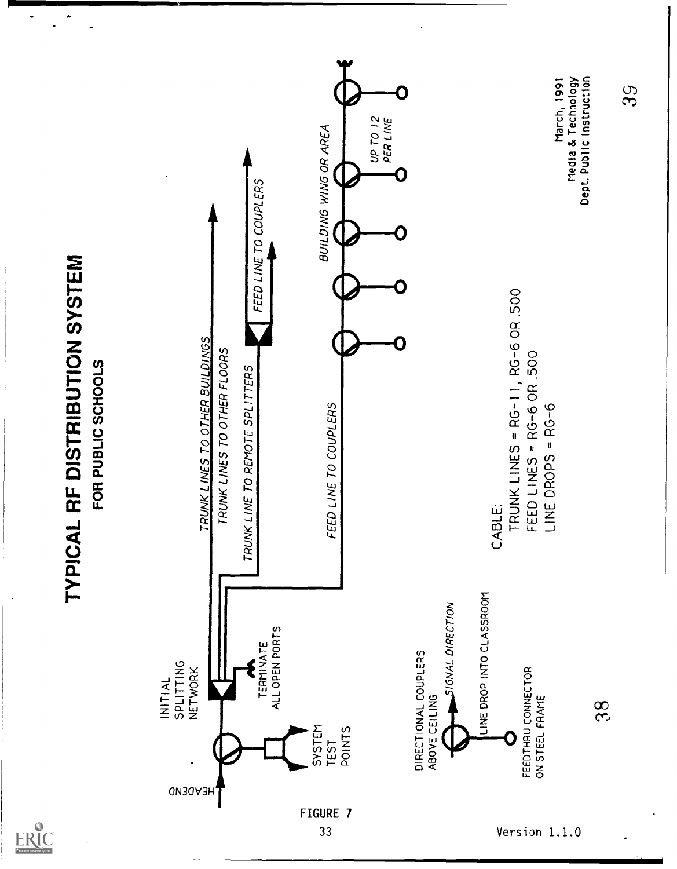